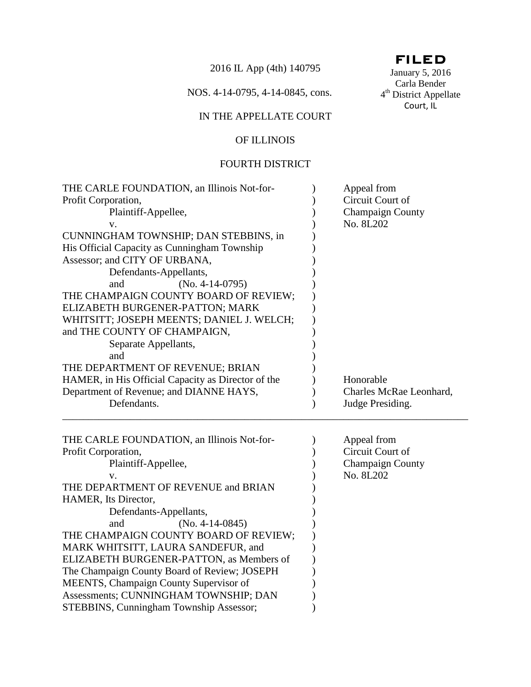2016 IL App (4th) 140795

NOS. 4-14-0795, 4-14-0845, cons.

# IN THE APPELLATE COURT

# OF ILLINOIS

## FOURTH DISTRICT

| THE CARLE FOUNDATION, an Illinois Not-for-<br>Profit Corporation,<br>Plaintiff-Appellee,<br>V.<br>CUNNINGHAM TOWNSHIP; DAN STEBBINS, in<br>His Official Capacity as Cunningham Township<br>Assessor; and CITY OF URBANA,<br>Defendants-Appellants,<br>$(No. 4-14-0795)$<br>and<br>THE CHAMPAIGN COUNTY BOARD OF REVIEW;<br>ELIZABETH BURGENER-PATTON; MARK<br>WHITSITT; JOSEPH MEENTS; DANIEL J. WELCH;                                                                                                                      | Appeal from<br>Circuit Court of<br><b>Champaign County</b><br>No. 8L202 |
|------------------------------------------------------------------------------------------------------------------------------------------------------------------------------------------------------------------------------------------------------------------------------------------------------------------------------------------------------------------------------------------------------------------------------------------------------------------------------------------------------------------------------|-------------------------------------------------------------------------|
| and THE COUNTY OF CHAMPAIGN,<br>Separate Appellants,<br>and<br>THE DEPARTMENT OF REVENUE; BRIAN<br>HAMER, in His Official Capacity as Director of the                                                                                                                                                                                                                                                                                                                                                                        | Honorable                                                               |
| Department of Revenue; and DIANNE HAYS,<br>Defendants.                                                                                                                                                                                                                                                                                                                                                                                                                                                                       | Charles McRae Leonhard,<br>Judge Presiding.                             |
| THE CARLE FOUNDATION, an Illinois Not-for-<br>Profit Corporation,<br>Plaintiff-Appellee,<br>V.<br>THE DEPARTMENT OF REVENUE and BRIAN<br>HAMER, Its Director,<br>Defendants-Appellants,<br>$(No. 4-14-0845)$<br>and<br>THE CHAMPAIGN COUNTY BOARD OF REVIEW;<br>MARK WHITSITT, LAURA SANDEFUR, and<br>ELIZABETH BURGENER-PATTON, as Members of<br>The Champaign County Board of Review; JOSEPH<br>MEENTS, Champaign County Supervisor of<br>Assessments; CUNNINGHAM TOWNSHIP; DAN<br>STEBBINS, Cunningham Township Assessor; | Appeal from<br>Circuit Court of<br><b>Champaign County</b><br>No. 8L202 |

# FILED

January 5, 2016 Carla Bender 4<sup>th</sup> District Appellate Court, IL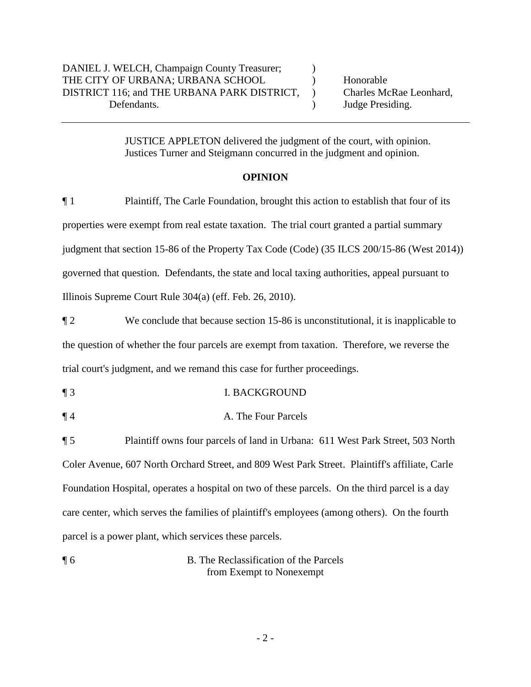JUSTICE APPLETON delivered the judgment of the court, with opinion. Justices Turner and Steigmann concurred in the judgment and opinion.

## **OPINION**

¶ 1 Plaintiff, The Carle Foundation, brought this action to establish that four of its properties were exempt from real estate taxation. The trial court granted a partial summary judgment that section 15-86 of the Property Tax Code (Code) (35 ILCS 200/15-86 (West 2014)) governed that question. Defendants, the state and local taxing authorities, appeal pursuant to Illinois Supreme Court Rule 304(a) (eff. Feb. 26, 2010).

¶ 2 We conclude that because section 15-86 is unconstitutional, it is inapplicable to the question of whether the four parcels are exempt from taxation. Therefore, we reverse the trial court's judgment, and we remand this case for further proceedings.

- ¶ 3 I. BACKGROUND
- ¶ 4 A. The Four Parcels

¶ 5 Plaintiff owns four parcels of land in Urbana: 611 West Park Street, 503 North Coler Avenue, 607 North Orchard Street, and 809 West Park Street. Plaintiff's affiliate, Carle Foundation Hospital, operates a hospital on two of these parcels. On the third parcel is a day care center, which serves the families of plaintiff's employees (among others). On the fourth parcel is a power plant, which services these parcels.

¶ 6 B. The Reclassification of the Parcels from Exempt to Nonexempt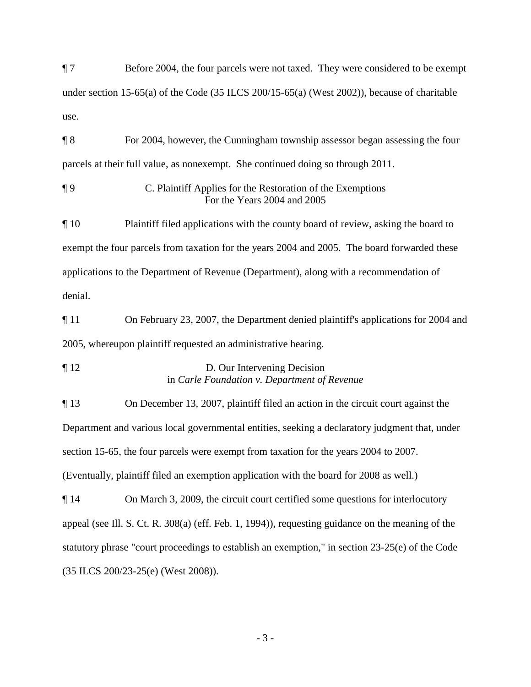¶ 7 Before 2004, the four parcels were not taxed. They were considered to be exempt under section 15-65(a) of the Code (35 ILCS 200/15-65(a) (West 2002)), because of charitable use.

¶ 8 For 2004, however, the Cunningham township assessor began assessing the four parcels at their full value, as nonexempt. She continued doing so through 2011.

¶ 9 C. Plaintiff Applies for the Restoration of the Exemptions For the Years 2004 and 2005

¶ 10 Plaintiff filed applications with the county board of review, asking the board to exempt the four parcels from taxation for the years 2004 and 2005. The board forwarded these applications to the Department of Revenue (Department), along with a recommendation of denial.

¶ 11 On February 23, 2007, the Department denied plaintiff's applications for 2004 and 2005, whereupon plaintiff requested an administrative hearing.

¶ 12 D. Our Intervening Decision in *Carle Foundation v. Department of Revenue*

¶ 13 On December 13, 2007, plaintiff filed an action in the circuit court against the Department and various local governmental entities, seeking a declaratory judgment that, under section 15-65, the four parcels were exempt from taxation for the years 2004 to 2007. (Eventually, plaintiff filed an exemption application with the board for 2008 as well.)

¶ 14 On March 3, 2009, the circuit court certified some questions for interlocutory appeal (see Ill. S. Ct. R. 308(a) (eff. Feb. 1, 1994)), requesting guidance on the meaning of the statutory phrase "court proceedings to establish an exemption," in section 23-25(e) of the Code (35 ILCS 200/23-25(e) (West 2008)).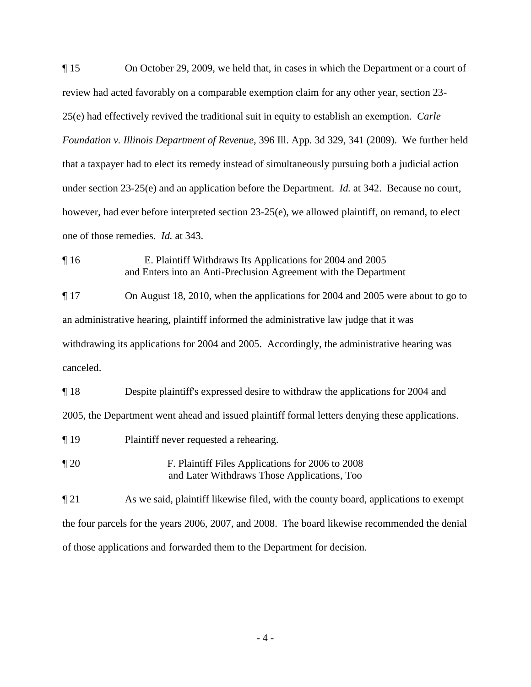¶ 15 On October 29, 2009, we held that, in cases in which the Department or a court of review had acted favorably on a comparable exemption claim for any other year, section 23- 25(e) had effectively revived the traditional suit in equity to establish an exemption. *Carle Foundation v. Illinois Department of Revenue*, 396 Ill. App. 3d 329, 341 (2009). We further held that a taxpayer had to elect its remedy instead of simultaneously pursuing both a judicial action under section 23-25(e) and an application before the Department. *Id.* at 342. Because no court, however, had ever before interpreted section 23-25(e), we allowed plaintiff, on remand, to elect one of those remedies. *Id.* at 343.

¶ 16 E. Plaintiff Withdraws Its Applications for 2004 and 2005 and Enters into an Anti-Preclusion Agreement with the Department

¶ 17 On August 18, 2010, when the applications for 2004 and 2005 were about to go to an administrative hearing, plaintiff informed the administrative law judge that it was withdrawing its applications for 2004 and 2005. Accordingly, the administrative hearing was canceled.

¶ 18 Despite plaintiff's expressed desire to withdraw the applications for 2004 and 2005, the Department went ahead and issued plaintiff formal letters denying these applications.

- ¶ 19 Plaintiff never requested a rehearing.
- ¶ 20 F. Plaintiff Files Applications for 2006 to 2008 and Later Withdraws Those Applications, Too

 $\P$  21 As we said, plaintiff likewise filed, with the county board, applications to exempt the four parcels for the years 2006, 2007, and 2008. The board likewise recommended the denial of those applications and forwarded them to the Department for decision.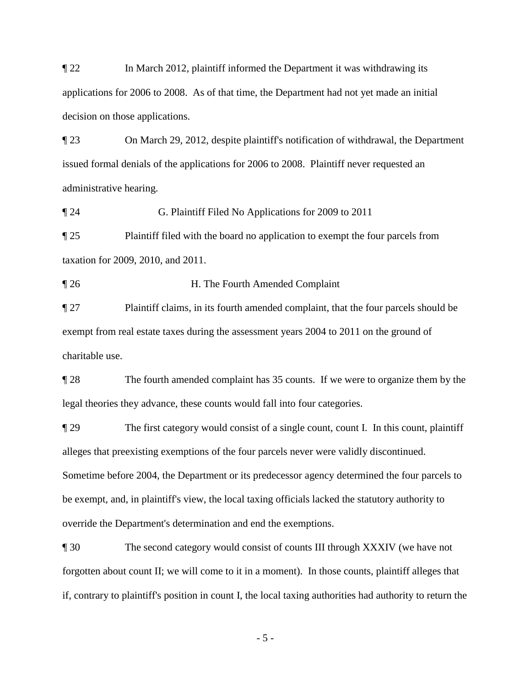¶ 22 In March 2012, plaintiff informed the Department it was withdrawing its applications for 2006 to 2008. As of that time, the Department had not yet made an initial decision on those applications.

¶ 23 On March 29, 2012, despite plaintiff's notification of withdrawal, the Department issued formal denials of the applications for 2006 to 2008. Plaintiff never requested an administrative hearing.

¶ 24 G. Plaintiff Filed No Applications for 2009 to 2011

¶ 25 Plaintiff filed with the board no application to exempt the four parcels from taxation for 2009, 2010, and 2011.

¶ 26 H. The Fourth Amended Complaint

¶ 27 Plaintiff claims, in its fourth amended complaint, that the four parcels should be exempt from real estate taxes during the assessment years 2004 to 2011 on the ground of charitable use.

¶ 28 The fourth amended complaint has 35 counts. If we were to organize them by the legal theories they advance, these counts would fall into four categories.

¶ 29 The first category would consist of a single count, count I. In this count, plaintiff alleges that preexisting exemptions of the four parcels never were validly discontinued. Sometime before 2004, the Department or its predecessor agency determined the four parcels to be exempt, and, in plaintiff's view, the local taxing officials lacked the statutory authority to override the Department's determination and end the exemptions.

¶ 30 The second category would consist of counts III through XXXIV (we have not forgotten about count II; we will come to it in a moment). In those counts, plaintiff alleges that if, contrary to plaintiff's position in count I, the local taxing authorities had authority to return the

- 5 -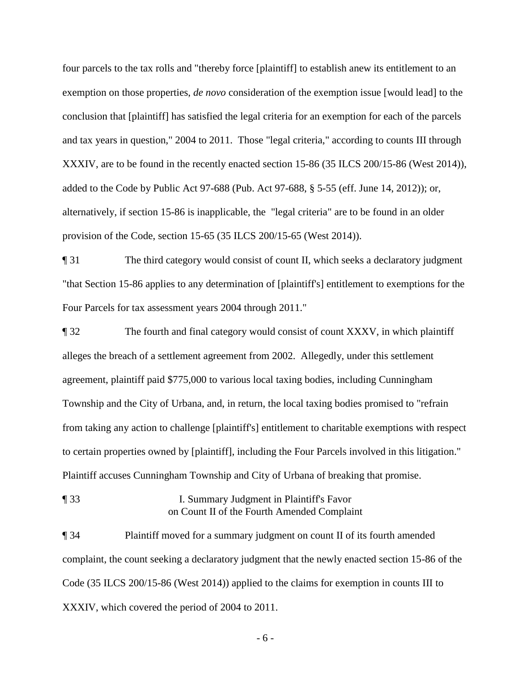four parcels to the tax rolls and "thereby force [plaintiff] to establish anew its entitlement to an exemption on those properties, *de novo* consideration of the exemption issue [would lead] to the conclusion that [plaintiff] has satisfied the legal criteria for an exemption for each of the parcels and tax years in question," 2004 to 2011. Those "legal criteria," according to counts III through XXXIV, are to be found in the recently enacted section 15-86 (35 ILCS 200/15-86 (West 2014)), added to the Code by Public Act 97-688 (Pub. Act 97-688, § 5-55 (eff. June 14, 2012)); or, alternatively, if section 15-86 is inapplicable, the "legal criteria" are to be found in an older provision of the Code, section 15-65 (35 ILCS 200/15-65 (West 2014)).

¶ 31 The third category would consist of count II, which seeks a declaratory judgment "that Section 15-86 applies to any determination of [plaintiff's] entitlement to exemptions for the Four Parcels for tax assessment years 2004 through 2011."

¶ 32 The fourth and final category would consist of count XXXV, in which plaintiff alleges the breach of a settlement agreement from 2002. Allegedly, under this settlement agreement, plaintiff paid \$775,000 to various local taxing bodies, including Cunningham Township and the City of Urbana, and, in return, the local taxing bodies promised to "refrain from taking any action to challenge [plaintiff's] entitlement to charitable exemptions with respect to certain properties owned by [plaintiff], including the Four Parcels involved in this litigation." Plaintiff accuses Cunningham Township and City of Urbana of breaking that promise.

¶ 33 I. Summary Judgment in Plaintiff's Favor on Count II of the Fourth Amended Complaint

¶ 34 Plaintiff moved for a summary judgment on count II of its fourth amended complaint, the count seeking a declaratory judgment that the newly enacted section 15-86 of the Code (35 ILCS 200/15-86 (West 2014)) applied to the claims for exemption in counts III to XXXIV, which covered the period of 2004 to 2011.

- 6 -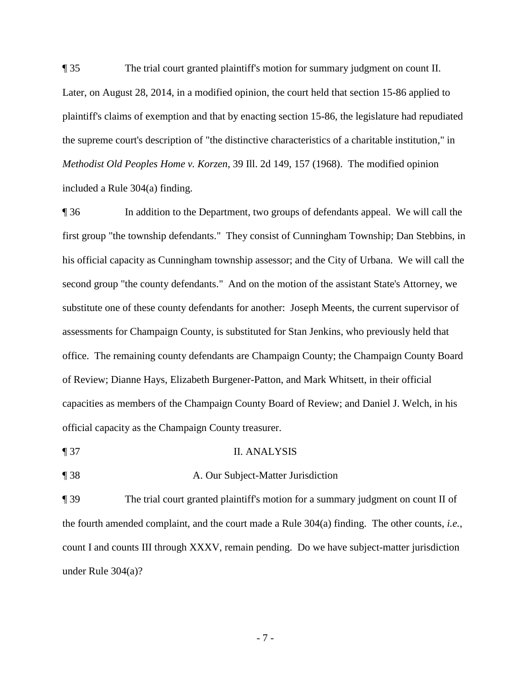¶ 35 The trial court granted plaintiff's motion for summary judgment on count II. Later, on August 28, 2014, in a modified opinion, the court held that section 15-86 applied to plaintiff's claims of exemption and that by enacting section 15-86, the legislature had repudiated the supreme court's description of "the distinctive characteristics of a charitable institution," in *Methodist Old Peoples Home v. Korzen*, 39 Ill. 2d 149, 157 (1968). The modified opinion included a Rule 304(a) finding.

¶ 36 In addition to the Department, two groups of defendants appeal. We will call the first group "the township defendants." They consist of Cunningham Township; Dan Stebbins, in his official capacity as Cunningham township assessor; and the City of Urbana. We will call the second group "the county defendants." And on the motion of the assistant State's Attorney, we substitute one of these county defendants for another: Joseph Meents, the current supervisor of assessments for Champaign County, is substituted for Stan Jenkins, who previously held that office. The remaining county defendants are Champaign County; the Champaign County Board of Review; Dianne Hays, Elizabeth Burgener-Patton, and Mark Whitsett, in their official capacities as members of the Champaign County Board of Review; and Daniel J. Welch, in his official capacity as the Champaign County treasurer.

¶ 37 II. ANALYSIS

¶ 38 A. Our Subject-Matter Jurisdiction

¶ 39 The trial court granted plaintiff's motion for a summary judgment on count II of the fourth amended complaint, and the court made a Rule 304(a) finding. The other counts, *i.e.*, count I and counts III through XXXV, remain pending. Do we have subject-matter jurisdiction under Rule 304(a)?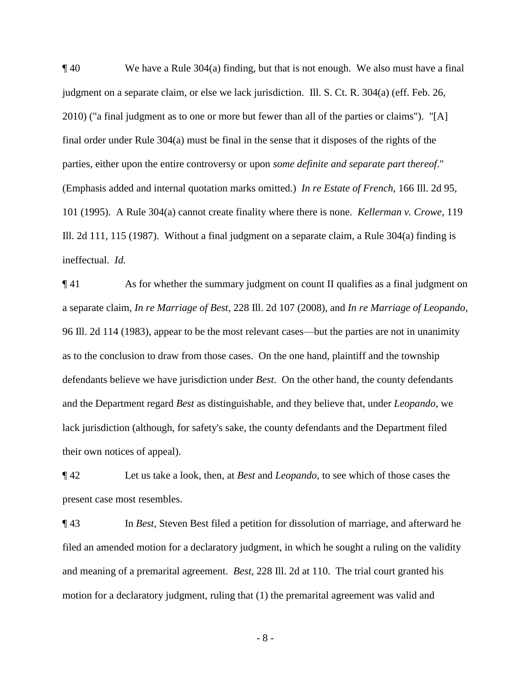¶ 40 We have a Rule 304(a) finding, but that is not enough. We also must have a final judgment on a separate claim, or else we lack jurisdiction. Ill. S. Ct. R. 304(a) (eff. Feb. 26, 2010) ("a final judgment as to one or more but fewer than all of the parties or claims"). "[A] final order under Rule 304(a) must be final in the sense that it disposes of the rights of the parties, either upon the entire controversy or upon *some definite and separate part thereof*." (Emphasis added and internal quotation marks omitted.) *In re Estate of French*, 166 Ill. 2d 95, 101 (1995). A Rule 304(a) cannot create finality where there is none. *Kellerman v. Crowe*, 119 Ill. 2d 111, 115 (1987). Without a final judgment on a separate claim, a Rule 304(a) finding is ineffectual. *Id.*

 $\P$  41 As for whether the summary judgment on count II qualifies as a final judgment on a separate claim, *In re Marriage of Best*, 228 Ill. 2d 107 (2008), and *In re Marriage of Leopando*, 96 Ill. 2d 114 (1983), appear to be the most relevant cases—but the parties are not in unanimity as to the conclusion to draw from those cases. On the one hand, plaintiff and the township defendants believe we have jurisdiction under *Best*. On the other hand, the county defendants and the Department regard *Best* as distinguishable, and they believe that, under *Leopando*, we lack jurisdiction (although, for safety's sake, the county defendants and the Department filed their own notices of appeal).

¶ 42 Let us take a look, then, at *Best* and *Leopando*, to see which of those cases the present case most resembles.

¶ 43 In *Best*, Steven Best filed a petition for dissolution of marriage, and afterward he filed an amended motion for a declaratory judgment, in which he sought a ruling on the validity and meaning of a premarital agreement. *Best*, 228 Ill. 2d at 110. The trial court granted his motion for a declaratory judgment, ruling that (1) the premarital agreement was valid and

- 8 -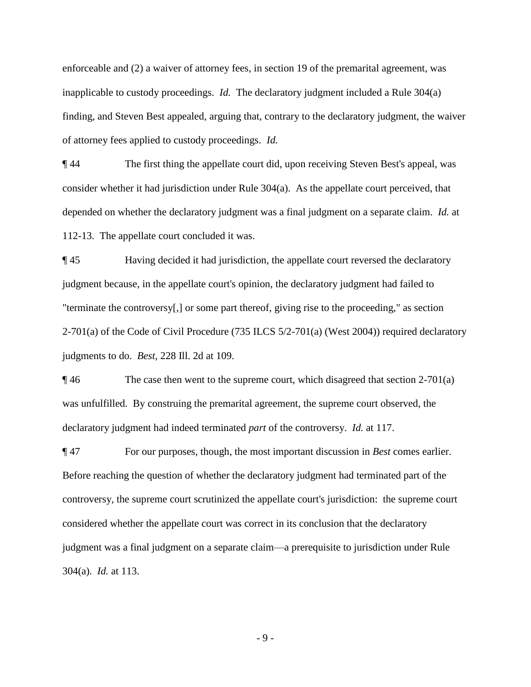enforceable and (2) a waiver of attorney fees, in section 19 of the premarital agreement, was inapplicable to custody proceedings. *Id.* The declaratory judgment included a Rule 304(a) finding, and Steven Best appealed, arguing that, contrary to the declaratory judgment, the waiver of attorney fees applied to custody proceedings. *Id.*

¶ 44 The first thing the appellate court did, upon receiving Steven Best's appeal, was consider whether it had jurisdiction under Rule 304(a). As the appellate court perceived, that depended on whether the declaratory judgment was a final judgment on a separate claim. *Id.* at 112-13. The appellate court concluded it was.

¶ 45 Having decided it had jurisdiction, the appellate court reversed the declaratory judgment because, in the appellate court's opinion, the declaratory judgment had failed to "terminate the controversy[,] or some part thereof, giving rise to the proceeding," as section 2-701(a) of the Code of Civil Procedure (735 ILCS  $5/2$ -701(a) (West 2004)) required declaratory judgments to do. *Best*, 228 Ill. 2d at 109.

 $\P$ 46 The case then went to the supreme court, which disagreed that section 2-701(a) was unfulfilled. By construing the premarital agreement, the supreme court observed, the declaratory judgment had indeed terminated *part* of the controversy. *Id.* at 117.

¶ 47 For our purposes, though, the most important discussion in *Best* comes earlier. Before reaching the question of whether the declaratory judgment had terminated part of the controversy, the supreme court scrutinized the appellate court's jurisdiction: the supreme court considered whether the appellate court was correct in its conclusion that the declaratory judgment was a final judgment on a separate claim—a prerequisite to jurisdiction under Rule 304(a). *Id.* at 113.

- 9 -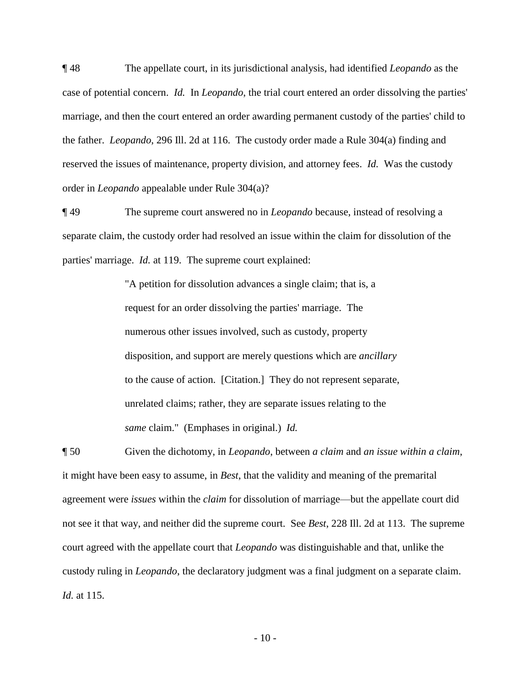¶ 48 The appellate court, in its jurisdictional analysis, had identified *Leopando* as the case of potential concern. *Id.* In *Leopando*, the trial court entered an order dissolving the parties' marriage, and then the court entered an order awarding permanent custody of the parties' child to the father. *Leopando*, 296 Ill. 2d at 116. The custody order made a Rule 304(a) finding and reserved the issues of maintenance, property division, and attorney fees. *Id.* Was the custody order in *Leopando* appealable under Rule 304(a)?

¶ 49 The supreme court answered no in *Leopando* because, instead of resolving a separate claim, the custody order had resolved an issue within the claim for dissolution of the parties' marriage. *Id.* at 119. The supreme court explained:

> "A petition for dissolution advances a single claim; that is, a request for an order dissolving the parties' marriage. The numerous other issues involved, such as custody, property disposition, and support are merely questions which are *ancillary* to the cause of action. [Citation.] They do not represent separate, unrelated claims; rather, they are separate issues relating to the *same* claim." (Emphases in original.) *Id.*

¶ 50 Given the dichotomy, in *Leopando*, between *a claim* and *an issue within a claim*, it might have been easy to assume, in *Best*, that the validity and meaning of the premarital agreement were *issues* within the *claim* for dissolution of marriage—but the appellate court did not see it that way, and neither did the supreme court. See *Best*, 228 Ill. 2d at 113. The supreme court agreed with the appellate court that *Leopando* was distinguishable and that, unlike the custody ruling in *Leopando*, the declaratory judgment was a final judgment on a separate claim. *Id.* at 115.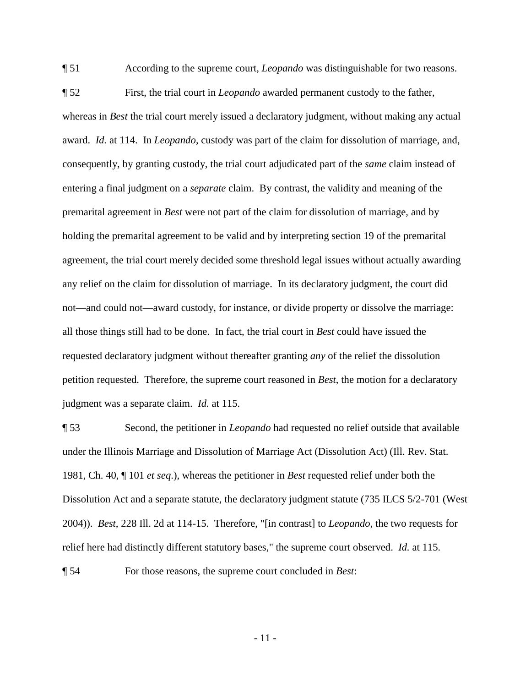¶ 51 According to the supreme court, *Leopando* was distinguishable for two reasons.

¶ 52 First, the trial court in *Leopando* awarded permanent custody to the father, whereas in *Best* the trial court merely issued a declaratory judgment, without making any actual award. *Id.* at 114. In *Leopando*, custody was part of the claim for dissolution of marriage, and, consequently, by granting custody, the trial court adjudicated part of the *same* claim instead of entering a final judgment on a *separate* claim. By contrast, the validity and meaning of the premarital agreement in *Best* were not part of the claim for dissolution of marriage, and by holding the premarital agreement to be valid and by interpreting section 19 of the premarital agreement, the trial court merely decided some threshold legal issues without actually awarding any relief on the claim for dissolution of marriage. In its declaratory judgment, the court did not—and could not—award custody, for instance, or divide property or dissolve the marriage: all those things still had to be done. In fact, the trial court in *Best* could have issued the requested declaratory judgment without thereafter granting *any* of the relief the dissolution petition requested. Therefore, the supreme court reasoned in *Best*, the motion for a declaratory judgment was a separate claim. *Id.* at 115.

¶ 53 Second, the petitioner in *Leopando* had requested no relief outside that available under the Illinois Marriage and Dissolution of Marriage Act (Dissolution Act) (Ill. Rev. Stat. 1981, Ch. 40, ¶ 101 *et seq*.), whereas the petitioner in *Best* requested relief under both the Dissolution Act and a separate statute, the declaratory judgment statute (735 ILCS 5/2-701 (West 2004)). *Best*, 228 Ill. 2d at 114-15. Therefore, "[in contrast] to *Leopando*, the two requests for relief here had distinctly different statutory bases," the supreme court observed. *Id.* at 115.

¶ 54 For those reasons, the supreme court concluded in *Best*:

- 11 -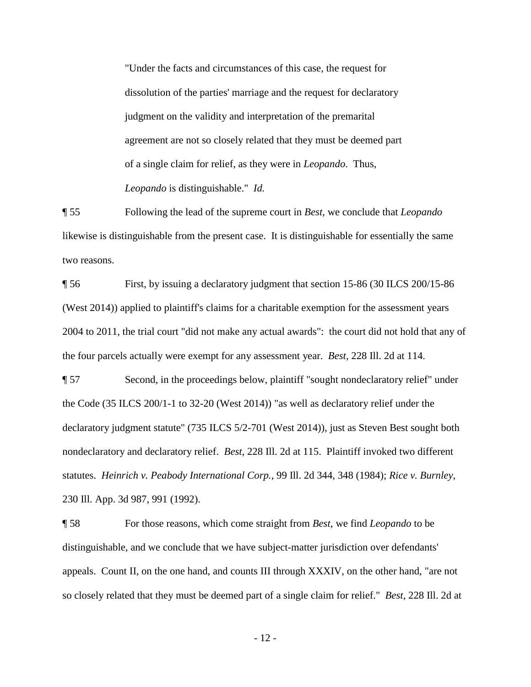"Under the facts and circumstances of this case, the request for dissolution of the parties' marriage and the request for declaratory judgment on the validity and interpretation of the premarital agreement are not so closely related that they must be deemed part of a single claim for relief, as they were in *Leopando*. Thus, *Leopando* is distinguishable." *Id.*

¶ 55 Following the lead of the supreme court in *Best*, we conclude that *Leopando* likewise is distinguishable from the present case. It is distinguishable for essentially the same two reasons.

¶ 56 First, by issuing a declaratory judgment that section 15-86 (30 ILCS 200/15-86 (West 2014)) applied to plaintiff's claims for a charitable exemption for the assessment years 2004 to 2011, the trial court "did not make any actual awards": the court did not hold that any of the four parcels actually were exempt for any assessment year. *Best*, 228 Ill. 2d at 114.

¶ 57 Second, in the proceedings below, plaintiff "sought nondeclaratory relief" under the Code (35 ILCS 200/1-1 to 32-20 (West 2014)) "as well as declaratory relief under the declaratory judgment statute" (735 ILCS 5/2-701 (West 2014)), just as Steven Best sought both nondeclaratory and declaratory relief. *Best*, 228 Ill. 2d at 115. Plaintiff invoked two different statutes. *Heinrich v. Peabody International Corp.*, 99 Ill. 2d 344, 348 (1984); *Rice v. Burnley*, 230 Ill. App. 3d 987, 991 (1992).

¶ 58 For those reasons, which come straight from *Best*, we find *Leopando* to be distinguishable, and we conclude that we have subject-matter jurisdiction over defendants' appeals. Count II, on the one hand, and counts III through XXXIV, on the other hand, "are not so closely related that they must be deemed part of a single claim for relief." *Best*, 228 Ill. 2d at

- 12 -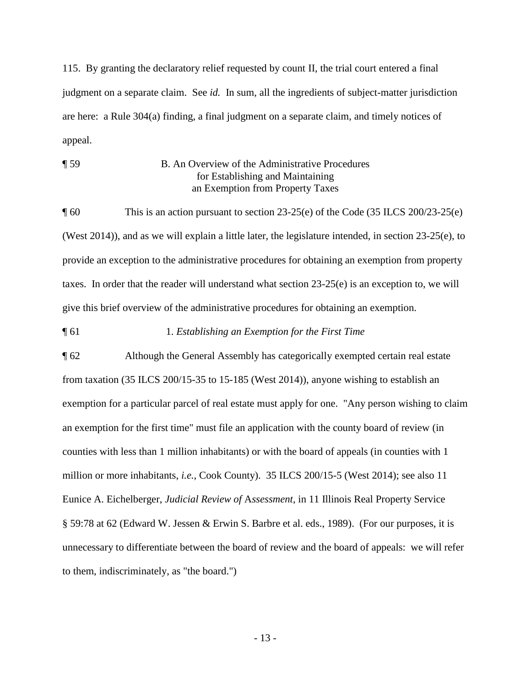115. By granting the declaratory relief requested by count II, the trial court entered a final judgment on a separate claim. See *id.* In sum, all the ingredients of subject-matter jurisdiction are here: a Rule 304(a) finding, a final judgment on a separate claim, and timely notices of appeal.

¶ 59 B. An Overview of the Administrative Procedures for Establishing and Maintaining an Exemption from Property Taxes

¶ 60 This is an action pursuant to section 23-25(e) of the Code (35 ILCS 200/23-25(e) (West 2014)), and as we will explain a little later, the legislature intended, in section 23-25(e), to provide an exception to the administrative procedures for obtaining an exemption from property taxes. In order that the reader will understand what section  $23\n-25(e)$  is an exception to, we will give this brief overview of the administrative procedures for obtaining an exemption.

#### ¶ 61 1. *Establishing an Exemption for the First Time*

¶ 62 Although the General Assembly has categorically exempted certain real estate from taxation (35 ILCS 200/15-35 to 15-185 (West 2014)), anyone wishing to establish an exemption for a particular parcel of real estate must apply for one. "Any person wishing to claim an exemption for the first time" must file an application with the county board of review (in counties with less than 1 million inhabitants) or with the board of appeals (in counties with 1 million or more inhabitants, *i.e.*, Cook County). 35 ILCS 200/15-5 (West 2014); see also 11 Eunice A. Eichelberger, *Judicial Review of* A*ssessment*, in 11 Illinois Real Property Service § 59:78 at 62 (Edward W. Jessen & Erwin S. Barbre et al. eds., 1989). (For our purposes, it is unnecessary to differentiate between the board of review and the board of appeals: we will refer to them, indiscriminately, as "the board.")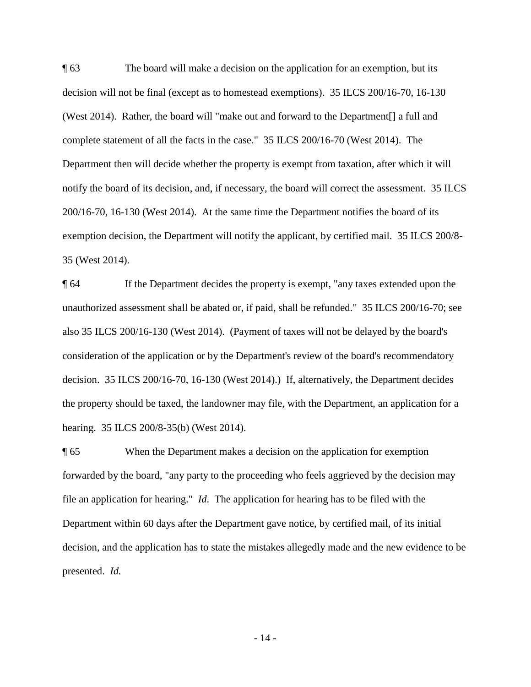¶ 63 The board will make a decision on the application for an exemption, but its decision will not be final (except as to homestead exemptions). 35 ILCS 200/16-70, 16-130 (West 2014). Rather, the board will "make out and forward to the Department[] a full and complete statement of all the facts in the case." 35 ILCS 200/16-70 (West 2014). The Department then will decide whether the property is exempt from taxation, after which it will notify the board of its decision, and, if necessary, the board will correct the assessment. 35 ILCS 200/16-70, 16-130 (West 2014). At the same time the Department notifies the board of its exemption decision, the Department will notify the applicant, by certified mail. 35 ILCS 200/8- 35 (West 2014).

¶ 64 If the Department decides the property is exempt, "any taxes extended upon the unauthorized assessment shall be abated or, if paid, shall be refunded." 35 ILCS 200/16-70; see also 35 ILCS 200/16-130 (West 2014). (Payment of taxes will not be delayed by the board's consideration of the application or by the Department's review of the board's recommendatory decision. 35 ILCS 200/16-70, 16-130 (West 2014).) If, alternatively, the Department decides the property should be taxed, the landowner may file, with the Department, an application for a hearing. 35 ILCS 200/8-35(b) (West 2014).

¶ 65 When the Department makes a decision on the application for exemption forwarded by the board, "any party to the proceeding who feels aggrieved by the decision may file an application for hearing." *Id*. The application for hearing has to be filed with the Department within 60 days after the Department gave notice, by certified mail, of its initial decision, and the application has to state the mistakes allegedly made and the new evidence to be presented. *Id.*

- 14 -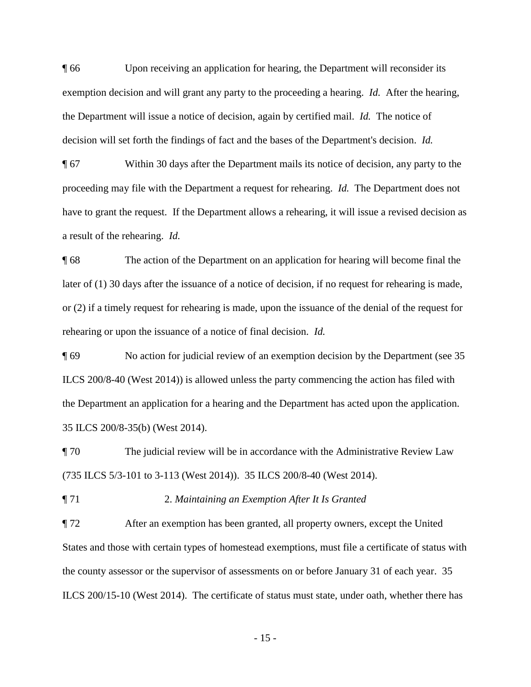¶ 66 Upon receiving an application for hearing, the Department will reconsider its exemption decision and will grant any party to the proceeding a hearing. *Id.* After the hearing, the Department will issue a notice of decision, again by certified mail. *Id.* The notice of decision will set forth the findings of fact and the bases of the Department's decision. *Id.*

¶ 67 Within 30 days after the Department mails its notice of decision, any party to the proceeding may file with the Department a request for rehearing. *Id.* The Department does not have to grant the request. If the Department allows a rehearing, it will issue a revised decision as a result of the rehearing. *Id.*

¶ 68 The action of the Department on an application for hearing will become final the later of (1) 30 days after the issuance of a notice of decision, if no request for rehearing is made, or (2) if a timely request for rehearing is made, upon the issuance of the denial of the request for rehearing or upon the issuance of a notice of final decision. *Id.*

¶ 69 No action for judicial review of an exemption decision by the Department (see 35 ILCS 200/8-40 (West 2014)) is allowed unless the party commencing the action has filed with the Department an application for a hearing and the Department has acted upon the application. 35 ILCS 200/8-35(b) (West 2014).

¶ 70 The judicial review will be in accordance with the Administrative Review Law (735 ILCS 5/3-101 to 3-113 (West 2014)). 35 ILCS 200/8-40 (West 2014).

¶ 71 2. *Maintaining an Exemption After It Is Granted*

¶ 72 After an exemption has been granted, all property owners, except the United States and those with certain types of homestead exemptions, must file a certificate of status with the county assessor or the supervisor of assessments on or before January 31 of each year. 35 ILCS 200/15-10 (West 2014). The certificate of status must state, under oath, whether there has

- 15 -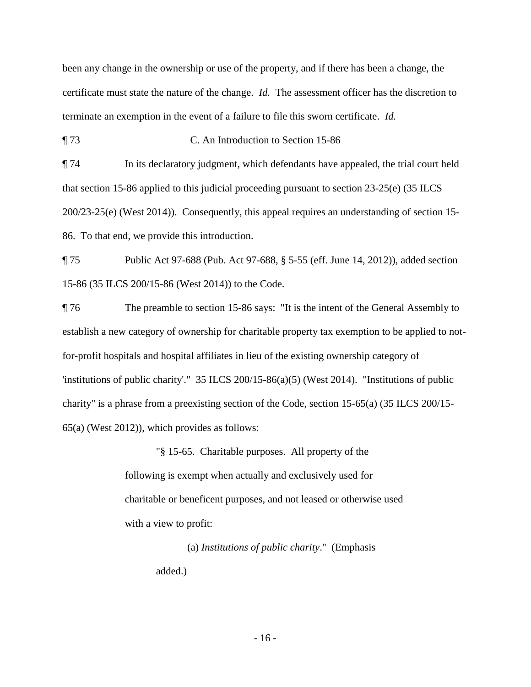been any change in the ownership or use of the property, and if there has been a change, the certificate must state the nature of the change. *Id.* The assessment officer has the discretion to terminate an exemption in the event of a failure to file this sworn certificate. *Id.*

¶ 73 C. An Introduction to Section 15-86

¶ 74 In its declaratory judgment, which defendants have appealed, the trial court held that section 15-86 applied to this judicial proceeding pursuant to section 23-25(e) (35 ILCS 200/23-25(e) (West 2014)). Consequently, this appeal requires an understanding of section 15- 86. To that end, we provide this introduction.

¶ 75 Public Act 97-688 (Pub. Act 97-688, § 5-55 (eff. June 14, 2012)), added section 15-86 (35 ILCS 200/15-86 (West 2014)) to the Code.

¶ 76 The preamble to section 15-86 says: "It is the intent of the General Assembly to establish a new category of ownership for charitable property tax exemption to be applied to notfor-profit hospitals and hospital affiliates in lieu of the existing ownership category of 'institutions of public charity'." 35 ILCS 200/15-86(a)(5) (West 2014). "Institutions of public charity" is a phrase from a preexisting section of the Code, section 15-65(a) (35 ILCS 200/15- 65(a) (West 2012)), which provides as follows:

> "§ 15-65. Charitable purposes. All property of the following is exempt when actually and exclusively used for charitable or beneficent purposes, and not leased or otherwise used with a view to profit:

> > (a) *Institutions of public charity*." (Emphasis added.)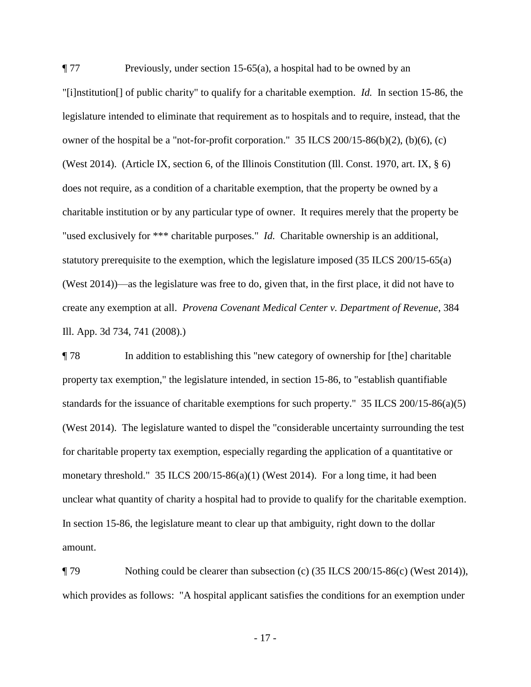$\P$  77 Previously, under section 15-65(a), a hospital had to be owned by an "[i]nstitution[] of public charity" to qualify for a charitable exemption. *Id.* In section 15-86, the legislature intended to eliminate that requirement as to hospitals and to require, instead, that the owner of the hospital be a "not-for-profit corporation."  $35$  ILCS  $200/15-86(b)(2)$ ,  $(b)(6)$ ,  $(c)$ (West 2014). (Article IX, section 6, of the Illinois Constitution (Ill. Const. 1970, art. IX, § 6) does not require, as a condition of a charitable exemption, that the property be owned by a charitable institution or by any particular type of owner. It requires merely that the property be "used exclusively for \*\*\* charitable purposes." *Id.* Charitable ownership is an additional, statutory prerequisite to the exemption, which the legislature imposed (35 ILCS 200/15-65(a) (West 2014))—as the legislature was free to do, given that, in the first place, it did not have to create any exemption at all. *Provena Covenant Medical Center v. Department of Revenue*, 384 Ill. App. 3d 734, 741 (2008).)

¶ 78 In addition to establishing this "new category of ownership for [the] charitable property tax exemption," the legislature intended, in section 15-86, to "establish quantifiable standards for the issuance of charitable exemptions for such property."  $35$  ILCS  $200/15-86(a)(5)$ (West 2014). The legislature wanted to dispel the "considerable uncertainty surrounding the test for charitable property tax exemption, especially regarding the application of a quantitative or monetary threshold." 35 ILCS 200/15-86(a)(1) (West 2014). For a long time, it had been unclear what quantity of charity a hospital had to provide to qualify for the charitable exemption. In section 15-86, the legislature meant to clear up that ambiguity, right down to the dollar amount.

¶ 79 Nothing could be clearer than subsection (c) (35 ILCS 200/15-86(c) (West 2014)), which provides as follows: "A hospital applicant satisfies the conditions for an exemption under

- 17 -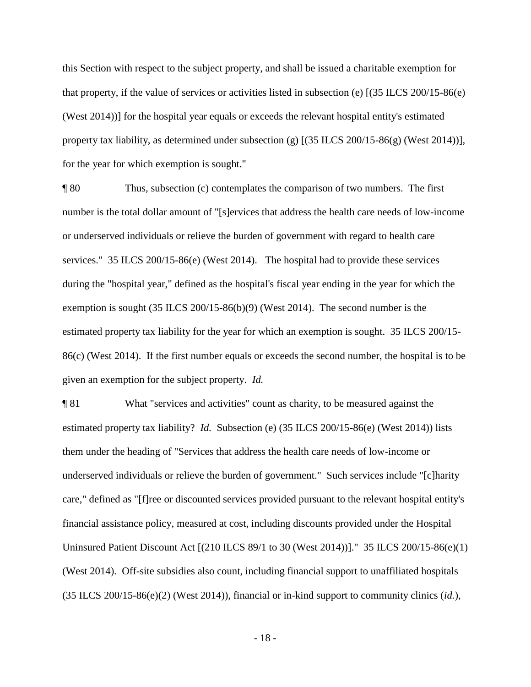this Section with respect to the subject property, and shall be issued a charitable exemption for that property, if the value of services or activities listed in subsection (e) [(35 ILCS 200/15-86(e) (West 2014))] for the hospital year equals or exceeds the relevant hospital entity's estimated property tax liability, as determined under subsection (g) [(35 ILCS 200/15-86(g) (West 2014))], for the year for which exemption is sought."

¶ 80 Thus, subsection (c) contemplates the comparison of two numbers. The first number is the total dollar amount of "[s]ervices that address the health care needs of low-income or underserved individuals or relieve the burden of government with regard to health care services." 35 ILCS 200/15-86(e) (West 2014). The hospital had to provide these services during the "hospital year," defined as the hospital's fiscal year ending in the year for which the exemption is sought (35 ILCS 200/15-86(b)(9) (West 2014). The second number is the estimated property tax liability for the year for which an exemption is sought. 35 ILCS 200/15- 86(c) (West 2014). If the first number equals or exceeds the second number, the hospital is to be given an exemption for the subject property. *Id.*

¶ 81 What "services and activities" count as charity, to be measured against the estimated property tax liability? *Id.* Subsection (e) (35 ILCS 200/15-86(e) (West 2014)) lists them under the heading of "Services that address the health care needs of low-income or underserved individuals or relieve the burden of government." Such services include "[c]harity care," defined as "[f]ree or discounted services provided pursuant to the relevant hospital entity's financial assistance policy, measured at cost, including discounts provided under the Hospital Uninsured Patient Discount Act [(210 ILCS 89/1 to 30 (West 2014))]." 35 ILCS 200/15-86(e)(1) (West 2014). Off-site subsidies also count, including financial support to unaffiliated hospitals (35 ILCS 200/15-86(e)(2) (West 2014)), financial or in-kind support to community clinics (*id.*),

- 18 -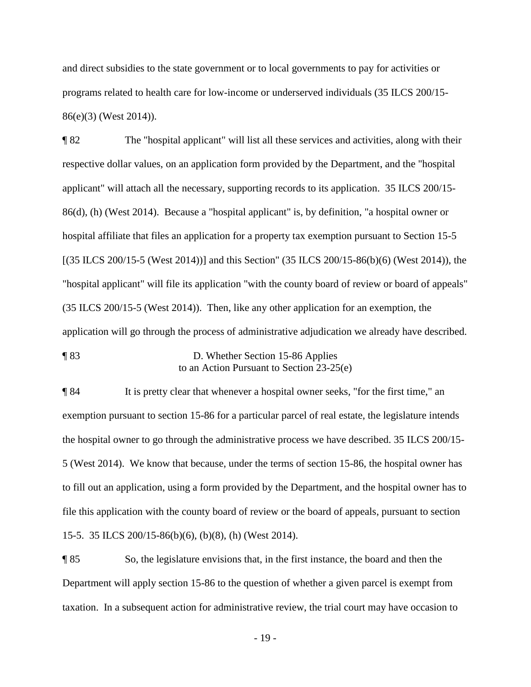and direct subsidies to the state government or to local governments to pay for activities or programs related to health care for low-income or underserved individuals (35 ILCS 200/15- 86(e)(3) (West 2014)).

¶ 82 The "hospital applicant" will list all these services and activities, along with their respective dollar values, on an application form provided by the Department, and the "hospital applicant" will attach all the necessary, supporting records to its application. 35 ILCS 200/15- 86(d), (h) (West 2014). Because a "hospital applicant" is, by definition, "a hospital owner or hospital affiliate that files an application for a property tax exemption pursuant to Section 15-5 [(35 ILCS 200/15-5 (West 2014))] and this Section" (35 ILCS 200/15-86(b)(6) (West 2014)), the "hospital applicant" will file its application "with the county board of review or board of appeals" (35 ILCS 200/15-5 (West 2014)). Then, like any other application for an exemption, the application will go through the process of administrative adjudication we already have described.

¶ 83 D. Whether Section 15-86 Applies to an Action Pursuant to Section 23-25(e)

¶ 84 It is pretty clear that whenever a hospital owner seeks, "for the first time," an exemption pursuant to section 15-86 for a particular parcel of real estate, the legislature intends the hospital owner to go through the administrative process we have described. 35 ILCS 200/15- 5 (West 2014). We know that because, under the terms of section 15-86, the hospital owner has to fill out an application, using a form provided by the Department, and the hospital owner has to file this application with the county board of review or the board of appeals, pursuant to section 15-5. 35 ILCS 200/15-86(b)(6), (b)(8), (h) (West 2014).

¶ 85 So, the legislature envisions that, in the first instance, the board and then the Department will apply section 15-86 to the question of whether a given parcel is exempt from taxation. In a subsequent action for administrative review, the trial court may have occasion to

- 19 -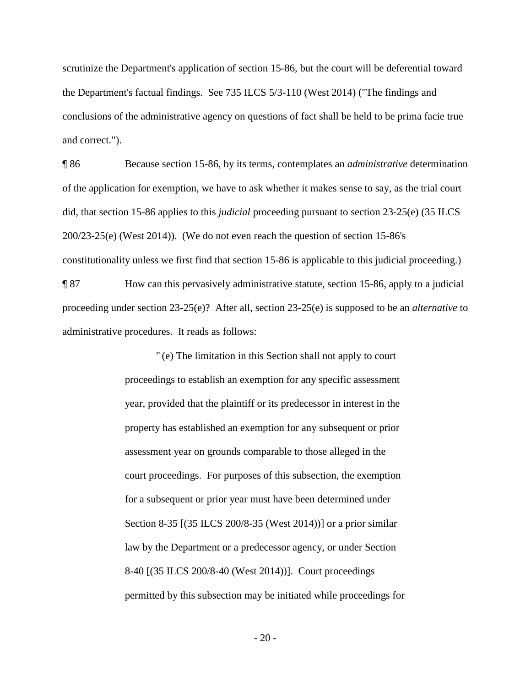scrutinize the Department's application of section 15-86, but the court will be deferential toward the Department's factual findings. See 735 ILCS 5/3-110 (West 2014) ("The findings and conclusions of the administrative agency on questions of fact shall be held to be prima facie true and correct.").

¶ 86 Because section 15-86, by its terms, contemplates an *administrative* determination of the application for exemption, we have to ask whether it makes sense to say, as the trial court did, that section 15-86 applies to this *judicial* proceeding pursuant to section 23-25(e) (35 ILCS 200/23-25(e) (West 2014)). (We do not even reach the question of section 15-86's constitutionality unless we first find that section 15-86 is applicable to this judicial proceeding.)

¶ 87 How can this pervasively administrative statute, section 15-86, apply to a judicial proceeding under section 23-25(e)? After all, section 23-25(e) is supposed to be an *alternative* to administrative procedures. It reads as follows:

> " (e) The limitation in this Section shall not apply to court proceedings to establish an exemption for any specific assessment year, provided that the plaintiff or its predecessor in interest in the property has established an exemption for any subsequent or prior assessment year on grounds comparable to those alleged in the court proceedings. For purposes of this subsection, the exemption for a subsequent or prior year must have been determined under Section 8-35 [(35 ILCS 200/8-35 (West 2014))] or a prior similar law by the Department or a predecessor agency, or under Section 8-40 [(35 ILCS 200/8-40 (West 2014))]. Court proceedings permitted by this subsection may be initiated while proceedings for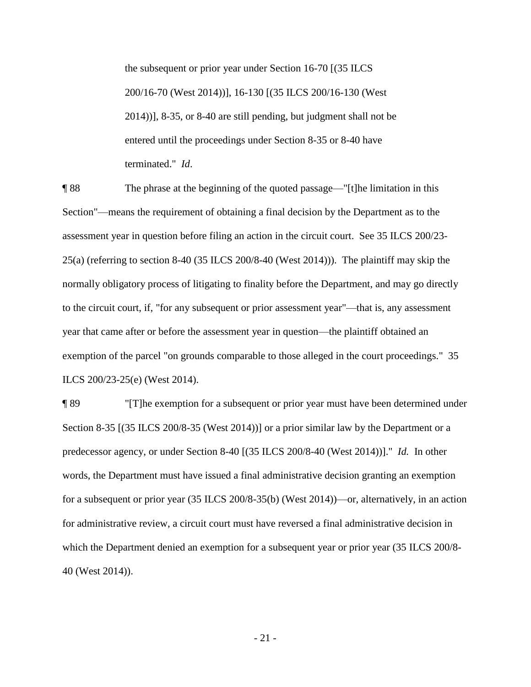the subsequent or prior year under Section 16-70 [(35 ILCS 200/16-70 (West 2014))], 16-130 [(35 ILCS 200/16-130 (West 2014))], 8-35, or 8-40 are still pending, but judgment shall not be entered until the proceedings under Section 8-35 or 8-40 have terminated." *Id*.

¶ 88 The phrase at the beginning of the quoted passage—"[t]he limitation in this Section"—means the requirement of obtaining a final decision by the Department as to the assessment year in question before filing an action in the circuit court. See 35 ILCS 200/23- 25(a) (referring to section 8-40 (35 ILCS 200/8-40 (West 2014))). The plaintiff may skip the normally obligatory process of litigating to finality before the Department, and may go directly to the circuit court, if, "for any subsequent or prior assessment year"—that is, any assessment year that came after or before the assessment year in question—the plaintiff obtained an exemption of the parcel "on grounds comparable to those alleged in the court proceedings." 35 ILCS 200/23-25(e) (West 2014).

¶ 89 "[T]he exemption for a subsequent or prior year must have been determined under Section 8-35 [(35 ILCS 200/8-35 (West 2014))] or a prior similar law by the Department or a predecessor agency, or under Section 8-40 [(35 ILCS 200/8-40 (West 2014))]." *Id.* In other words, the Department must have issued a final administrative decision granting an exemption for a subsequent or prior year (35 ILCS 200/8-35(b) (West 2014))—or, alternatively, in an action for administrative review, a circuit court must have reversed a final administrative decision in which the Department denied an exemption for a subsequent year or prior year (35 ILCS 200/8-40 (West 2014)).

- 21 -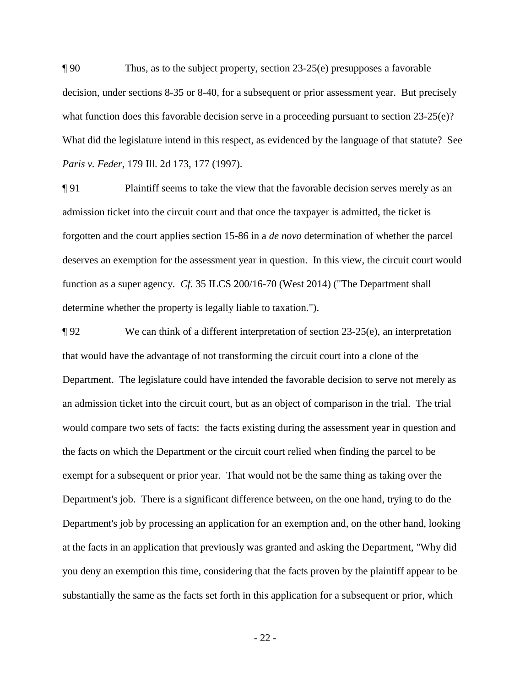¶ 90 Thus, as to the subject property, section 23-25(e) presupposes a favorable decision, under sections 8-35 or 8-40, for a subsequent or prior assessment year. But precisely what function does this favorable decision serve in a proceeding pursuant to section  $23-25(e)$ ? What did the legislature intend in this respect, as evidenced by the language of that statute? See *Paris v. Feder*, 179 Ill. 2d 173, 177 (1997).

¶ 91 Plaintiff seems to take the view that the favorable decision serves merely as an admission ticket into the circuit court and that once the taxpayer is admitted, the ticket is forgotten and the court applies section 15-86 in a *de novo* determination of whether the parcel deserves an exemption for the assessment year in question. In this view, the circuit court would function as a super agency. *Cf.* 35 ILCS 200/16-70 (West 2014) ("The Department shall determine whether the property is legally liable to taxation.").

 $\P$ 92 We can think of a different interpretation of section 23-25(e), an interpretation that would have the advantage of not transforming the circuit court into a clone of the Department. The legislature could have intended the favorable decision to serve not merely as an admission ticket into the circuit court, but as an object of comparison in the trial. The trial would compare two sets of facts: the facts existing during the assessment year in question and the facts on which the Department or the circuit court relied when finding the parcel to be exempt for a subsequent or prior year. That would not be the same thing as taking over the Department's job. There is a significant difference between, on the one hand, trying to do the Department's job by processing an application for an exemption and, on the other hand, looking at the facts in an application that previously was granted and asking the Department, "Why did you deny an exemption this time, considering that the facts proven by the plaintiff appear to be substantially the same as the facts set forth in this application for a subsequent or prior, which

- 22 -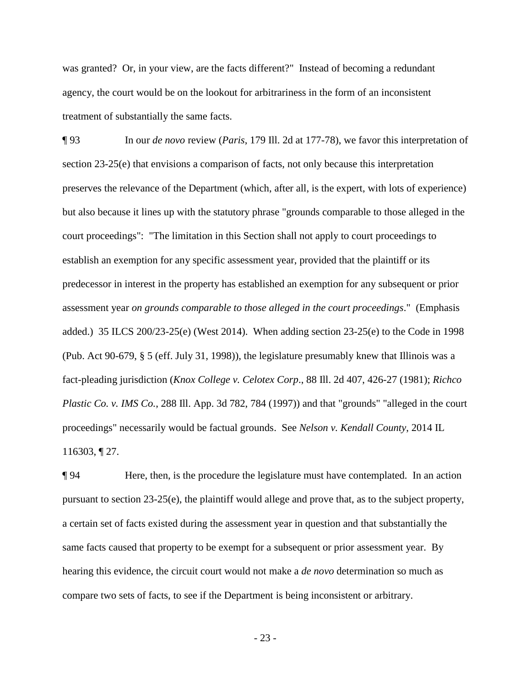was granted? Or, in your view, are the facts different?" Instead of becoming a redundant agency, the court would be on the lookout for arbitrariness in the form of an inconsistent treatment of substantially the same facts.

¶ 93 In our *de novo* review (*Paris*, 179 Ill. 2d at 177-78), we favor this interpretation of section 23-25(e) that envisions a comparison of facts, not only because this interpretation preserves the relevance of the Department (which, after all, is the expert, with lots of experience) but also because it lines up with the statutory phrase "grounds comparable to those alleged in the court proceedings": "The limitation in this Section shall not apply to court proceedings to establish an exemption for any specific assessment year, provided that the plaintiff or its predecessor in interest in the property has established an exemption for any subsequent or prior assessment year *on grounds comparable to those alleged in the court proceedings*." (Emphasis added.) 35 ILCS 200/23-25(e) (West 2014). When adding section 23-25(e) to the Code in 1998 (Pub. Act 90-679, § 5 (eff. July 31, 1998)), the legislature presumably knew that Illinois was a fact-pleading jurisdiction (*Knox College v. Celotex Corp*., 88 Ill. 2d 407, 426-27 (1981); *Richco Plastic Co. v. IMS Co.*, 288 Ill. App. 3d 782, 784 (1997)) and that "grounds" "alleged in the court proceedings" necessarily would be factual grounds. See *Nelson v. Kendall County*, 2014 IL 116303, ¶ 27.

¶ 94 Here, then, is the procedure the legislature must have contemplated. In an action pursuant to section 23-25(e), the plaintiff would allege and prove that, as to the subject property, a certain set of facts existed during the assessment year in question and that substantially the same facts caused that property to be exempt for a subsequent or prior assessment year. By hearing this evidence, the circuit court would not make a *de novo* determination so much as compare two sets of facts, to see if the Department is being inconsistent or arbitrary.

- 23 -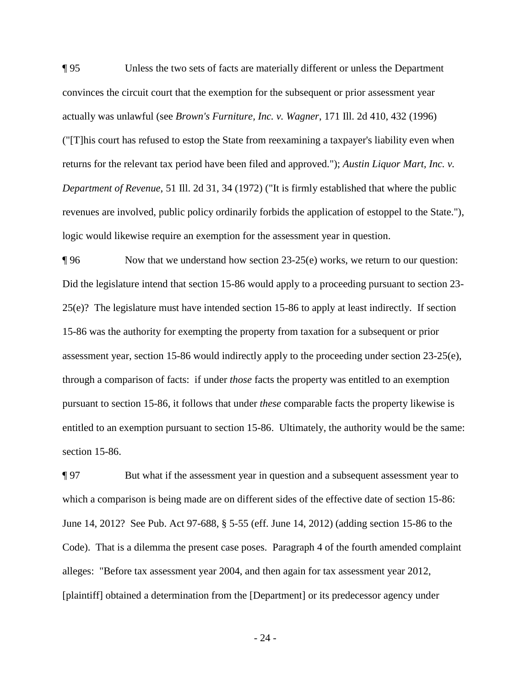¶ 95 Unless the two sets of facts are materially different or unless the Department convinces the circuit court that the exemption for the subsequent or prior assessment year actually was unlawful (see *Brown's Furniture, Inc. v. Wagner*, 171 Ill. 2d 410, 432 (1996) ("[T]his court has refused to estop the State from reexamining a taxpayer's liability even when returns for the relevant tax period have been filed and approved."); *Austin Liquor Mart, Inc. v. Department of Revenue*, 51 Ill. 2d 31, 34 (1972) ("It is firmly established that where the public revenues are involved, public policy ordinarily forbids the application of estoppel to the State."), logic would likewise require an exemption for the assessment year in question.

¶ 96 Now that we understand how section 23-25(e) works, we return to our question: Did the legislature intend that section 15-86 would apply to a proceeding pursuant to section 23- 25(e)? The legislature must have intended section 15-86 to apply at least indirectly. If section 15-86 was the authority for exempting the property from taxation for a subsequent or prior assessment year, section 15-86 would indirectly apply to the proceeding under section 23-25(e), through a comparison of facts: if under *those* facts the property was entitled to an exemption pursuant to section 15-86, it follows that under *these* comparable facts the property likewise is entitled to an exemption pursuant to section 15-86. Ultimately, the authority would be the same: section 15-86.

¶ 97 But what if the assessment year in question and a subsequent assessment year to which a comparison is being made are on different sides of the effective date of section 15-86: June 14, 2012? See Pub. Act 97-688, § 5-55 (eff. June 14, 2012) (adding section 15-86 to the Code). That is a dilemma the present case poses. Paragraph 4 of the fourth amended complaint alleges: "Before tax assessment year 2004, and then again for tax assessment year 2012, [plaintiff] obtained a determination from the [Department] or its predecessor agency under

- 24 -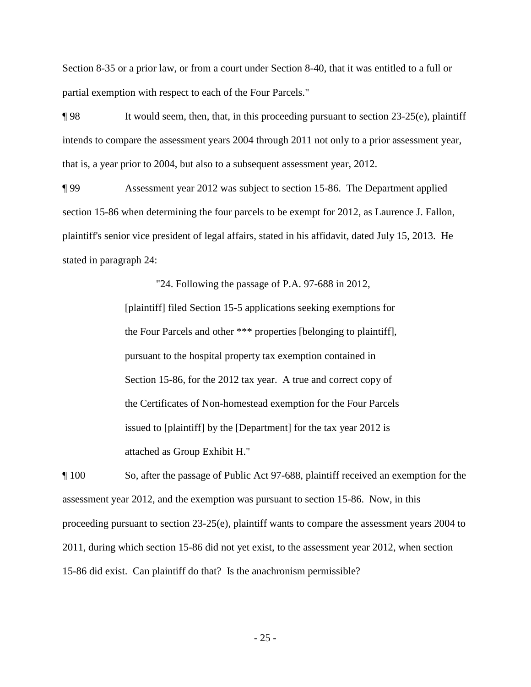Section 8-35 or a prior law, or from a court under Section 8-40, that it was entitled to a full or partial exemption with respect to each of the Four Parcels."

 $\P$ 98 It would seem, then, that, in this proceeding pursuant to section 23-25(e), plaintiff intends to compare the assessment years 2004 through 2011 not only to a prior assessment year, that is, a year prior to 2004, but also to a subsequent assessment year, 2012.

¶ 99 Assessment year 2012 was subject to section 15-86. The Department applied section 15-86 when determining the four parcels to be exempt for 2012, as Laurence J. Fallon, plaintiff's senior vice president of legal affairs, stated in his affidavit, dated July 15, 2013. He stated in paragraph 24:

> "24. Following the passage of P.A. 97-688 in 2012, [plaintiff] filed Section 15-5 applications seeking exemptions for the Four Parcels and other \*\*\* properties [belonging to plaintiff], pursuant to the hospital property tax exemption contained in Section 15-86, for the 2012 tax year. A true and correct copy of the Certificates of Non-homestead exemption for the Four Parcels issued to [plaintiff] by the [Department] for the tax year 2012 is attached as Group Exhibit H."

¶ 100 So, after the passage of Public Act 97-688, plaintiff received an exemption for the assessment year 2012, and the exemption was pursuant to section 15-86. Now, in this proceeding pursuant to section 23-25(e), plaintiff wants to compare the assessment years 2004 to 2011, during which section 15-86 did not yet exist, to the assessment year 2012, when section 15-86 did exist. Can plaintiff do that? Is the anachronism permissible?

- 25 -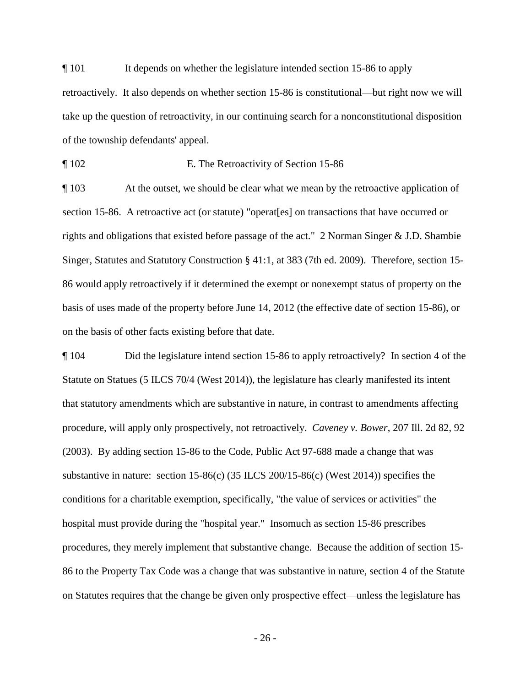¶ 101 It depends on whether the legislature intended section 15-86 to apply retroactively. It also depends on whether section 15-86 is constitutional—but right now we will take up the question of retroactivity, in our continuing search for a nonconstitutional disposition of the township defendants' appeal.

¶ 102 E. The Retroactivity of Section 15-86

¶ 103 At the outset, we should be clear what we mean by the retroactive application of section 15-86. A retroactive act (or statute) "operat[es] on transactions that have occurred or rights and obligations that existed before passage of the act." 2 Norman Singer & J.D. Shambie Singer, Statutes and Statutory Construction § 41:1, at 383 (7th ed. 2009). Therefore, section 15- 86 would apply retroactively if it determined the exempt or nonexempt status of property on the basis of uses made of the property before June 14, 2012 (the effective date of section 15-86), or on the basis of other facts existing before that date.

¶ 104 Did the legislature intend section 15-86 to apply retroactively? In section 4 of the Statute on Statues (5 ILCS 70/4 (West 2014)), the legislature has clearly manifested its intent that statutory amendments which are substantive in nature, in contrast to amendments affecting procedure, will apply only prospectively, not retroactively. *Caveney v. Bower*, 207 Ill. 2d 82, 92 (2003). By adding section 15-86 to the Code, Public Act 97-688 made a change that was substantive in nature: section 15-86(c) (35 ILCS 200/15-86(c) (West 2014)) specifies the conditions for a charitable exemption, specifically, "the value of services or activities" the hospital must provide during the "hospital year." Insomuch as section 15-86 prescribes procedures, they merely implement that substantive change. Because the addition of section 15- 86 to the Property Tax Code was a change that was substantive in nature, section 4 of the Statute on Statutes requires that the change be given only prospective effect—unless the legislature has

- 26 -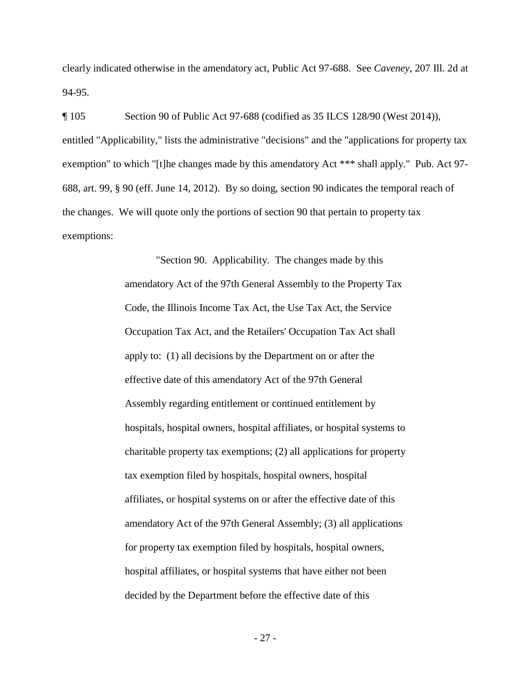clearly indicated otherwise in the amendatory act, Public Act 97-688. See *Caveney*, 207 Ill. 2d at 94-95.

¶ 105 Section 90 of Public Act 97-688 (codified as 35 ILCS 128/90 (West 2014)), entitled "Applicability," lists the administrative "decisions" and the "applications for property tax exemption" to which "[t]he changes made by this amendatory Act \*\*\* shall apply." Pub. Act 97- 688, art. 99, § 90 (eff. June 14, 2012). By so doing, section 90 indicates the temporal reach of the changes. We will quote only the portions of section 90 that pertain to property tax exemptions:

> "Section 90. Applicability. The changes made by this amendatory Act of the 97th General Assembly to the Property Tax Code, the Illinois Income Tax Act, the Use Tax Act, the Service Occupation Tax Act, and the Retailers' Occupation Tax Act shall apply to: (1) all decisions by the Department on or after the effective date of this amendatory Act of the 97th General Assembly regarding entitlement or continued entitlement by hospitals, hospital owners, hospital affiliates, or hospital systems to charitable property tax exemptions; (2) all applications for property tax exemption filed by hospitals, hospital owners, hospital affiliates, or hospital systems on or after the effective date of this amendatory Act of the 97th General Assembly; (3) all applications for property tax exemption filed by hospitals, hospital owners, hospital affiliates, or hospital systems that have either not been decided by the Department before the effective date of this

> > - 27 -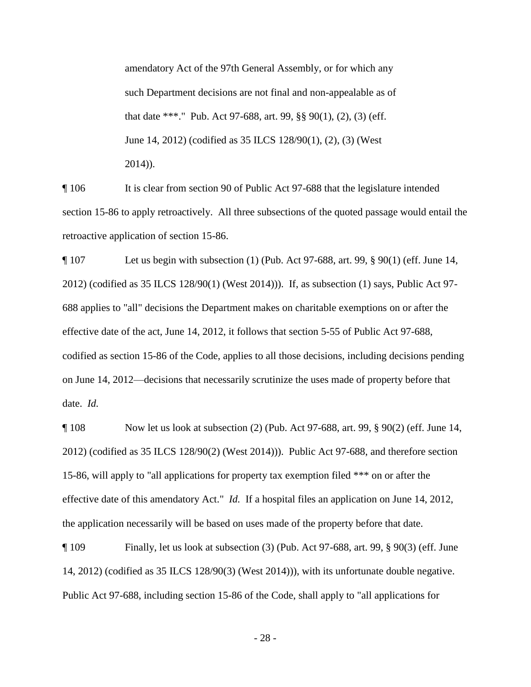amendatory Act of the 97th General Assembly, or for which any such Department decisions are not final and non-appealable as of that date \*\*\*." Pub. Act 97-688, art. 99, §§ 90(1), (2), (3) (eff. June 14, 2012) (codified as 35 ILCS 128/90(1), (2), (3) (West 2014)).

¶ 106 It is clear from section 90 of Public Act 97-688 that the legislature intended section 15-86 to apply retroactively. All three subsections of the quoted passage would entail the retroactive application of section 15-86.

¶ 107 Let us begin with subsection (1) (Pub. Act 97-688, art. 99, § 90(1) (eff. June 14, 2012) (codified as 35 ILCS 128/90(1) (West 2014))). If, as subsection (1) says, Public Act 97- 688 applies to "all" decisions the Department makes on charitable exemptions on or after the effective date of the act, June 14, 2012, it follows that section 5-55 of Public Act 97-688, codified as section 15-86 of the Code, applies to all those decisions, including decisions pending on June 14, 2012—decisions that necessarily scrutinize the uses made of property before that date. *Id.*

¶ 108 Now let us look at subsection (2) (Pub. Act 97-688, art. 99, § 90(2) (eff. June 14, 2012) (codified as 35 ILCS 128/90(2) (West 2014))). Public Act 97-688, and therefore section 15-86, will apply to "all applications for property tax exemption filed \*\*\* on or after the effective date of this amendatory Act." *Id.* If a hospital files an application on June 14, 2012, the application necessarily will be based on uses made of the property before that date.

¶ 109 Finally, let us look at subsection (3) (Pub. Act 97-688, art. 99, § 90(3) (eff. June 14, 2012) (codified as 35 ILCS 128/90(3) (West 2014))), with its unfortunate double negative. Public Act 97-688, including section 15-86 of the Code, shall apply to "all applications for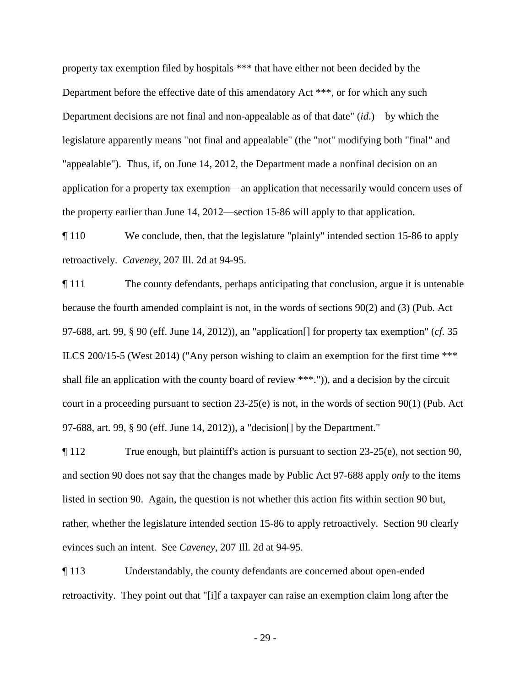property tax exemption filed by hospitals \*\*\* that have either not been decided by the Department before the effective date of this amendatory Act \*\*\*, or for which any such Department decisions are not final and non-appealable as of that date" (*id*.)—by which the legislature apparently means "not final and appealable" (the "not" modifying both "final" and "appealable"). Thus, if, on June 14, 2012, the Department made a nonfinal decision on an application for a property tax exemption—an application that necessarily would concern uses of the property earlier than June 14, 2012—section 15-86 will apply to that application.

¶ 110 We conclude, then, that the legislature "plainly" intended section 15-86 to apply retroactively. *Caveney*, 207 Ill. 2d at 94-95.

¶ 111 The county defendants, perhaps anticipating that conclusion, argue it is untenable because the fourth amended complaint is not, in the words of sections 90(2) and (3) (Pub. Act 97-688, art. 99, § 90 (eff. June 14, 2012)), an "application[] for property tax exemption" (*cf.* 35 ILCS 200/15-5 (West 2014) ("Any person wishing to claim an exemption for the first time \*\*\* shall file an application with the county board of review \*\*\*.")), and a decision by the circuit court in a proceeding pursuant to section  $23-25(e)$  is not, in the words of section  $90(1)$  (Pub. Act 97-688, art. 99, § 90 (eff. June 14, 2012)), a "decision[] by the Department."

¶ 112 True enough, but plaintiff's action is pursuant to section 23-25(e), not section 90, and section 90 does not say that the changes made by Public Act 97-688 apply *only* to the items listed in section 90. Again, the question is not whether this action fits within section 90 but, rather, whether the legislature intended section 15-86 to apply retroactively. Section 90 clearly evinces such an intent. See *Caveney*, 207 Ill. 2d at 94-95.

¶ 113 Understandably, the county defendants are concerned about open-ended retroactivity. They point out that "[i]f a taxpayer can raise an exemption claim long after the

- 29 -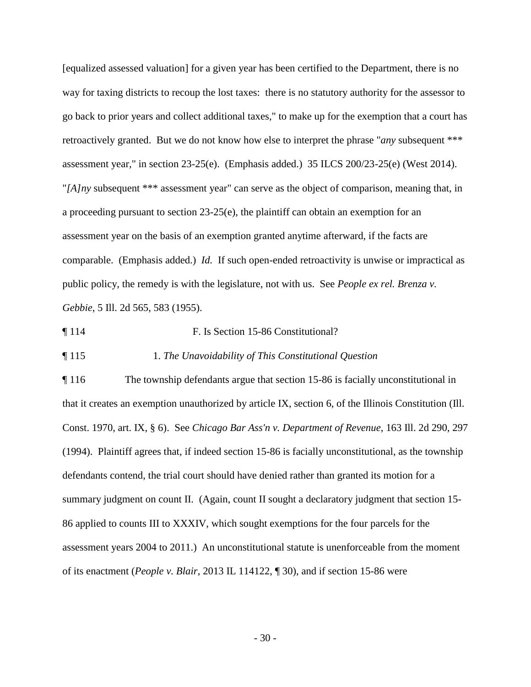[equalized assessed valuation] for a given year has been certified to the Department, there is no way for taxing districts to recoup the lost taxes: there is no statutory authority for the assessor to go back to prior years and collect additional taxes," to make up for the exemption that a court has retroactively granted. But we do not know how else to interpret the phrase "*any* subsequent \*\*\* assessment year," in section 23-25(e). (Emphasis added.) 35 ILCS 200/23-25(e) (West 2014). "*[A]ny* subsequent \*\*\* assessment year" can serve as the object of comparison, meaning that, in a proceeding pursuant to section 23-25(e), the plaintiff can obtain an exemption for an assessment year on the basis of an exemption granted anytime afterward, if the facts are comparable. (Emphasis added.) *Id.* If such open-ended retroactivity is unwise or impractical as public policy, the remedy is with the legislature, not with us. See *People ex rel. Brenza v. Gebbie*, 5 Ill. 2d 565, 583 (1955).

¶ 114 F. Is Section 15-86 Constitutional?

¶ 115 1. *The Unavoidability of This Constitutional Question*

¶ 116 The township defendants argue that section 15-86 is facially unconstitutional in that it creates an exemption unauthorized by article IX, section 6, of the Illinois Constitution (Ill. Const. 1970, art. IX, § 6). See *Chicago Bar Ass'n v. Department of Revenue*, 163 Ill. 2d 290, 297 (1994). Plaintiff agrees that, if indeed section 15-86 is facially unconstitutional, as the township defendants contend, the trial court should have denied rather than granted its motion for a summary judgment on count II. (Again, count II sought a declaratory judgment that section 15- 86 applied to counts III to XXXIV, which sought exemptions for the four parcels for the assessment years 2004 to 2011.) An unconstitutional statute is unenforceable from the moment of its enactment (*People v. Blair*, 2013 IL 114122, ¶ 30), and if section 15-86 were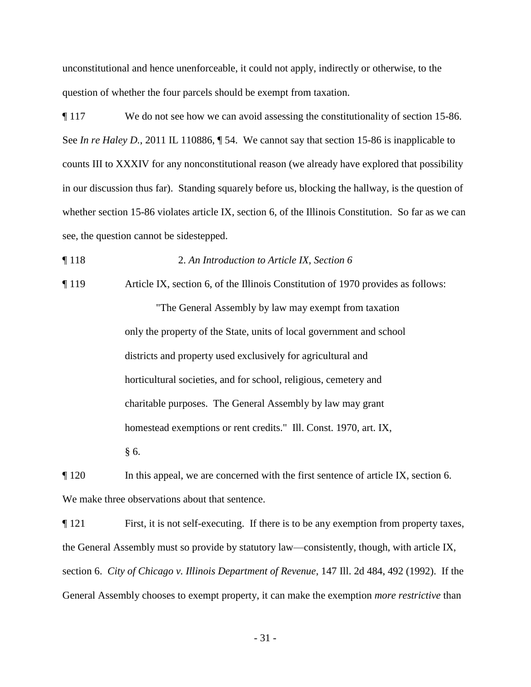unconstitutional and hence unenforceable, it could not apply, indirectly or otherwise, to the question of whether the four parcels should be exempt from taxation.

¶ 117 We do not see how we can avoid assessing the constitutionality of section 15-86. See *In re Haley D.*, 2011 IL 110886,  $\sqrt{ }$  54. We cannot say that section 15-86 is inapplicable to counts III to XXXIV for any nonconstitutional reason (we already have explored that possibility in our discussion thus far). Standing squarely before us, blocking the hallway, is the question of whether section 15-86 violates article IX, section 6, of the Illinois Constitution. So far as we can see, the question cannot be sidestepped.

### ¶ 118 2. *An Introduction to Article IX, Section 6*

¶ 119 Article IX, section 6, of the Illinois Constitution of 1970 provides as follows: "The General Assembly by law may exempt from taxation only the property of the State, units of local government and school districts and property used exclusively for agricultural and horticultural societies, and for school, religious, cemetery and charitable purposes. The General Assembly by law may grant homestead exemptions or rent credits." Ill. Const. 1970, art. IX, § 6.

¶ 120 In this appeal, we are concerned with the first sentence of article IX, section 6. We make three observations about that sentence.

¶ 121 First, it is not self-executing. If there is to be any exemption from property taxes, the General Assembly must so provide by statutory law—consistently, though, with article IX, section 6. *City of Chicago v. Illinois Department of Revenue*, 147 Ill. 2d 484, 492 (1992). If the General Assembly chooses to exempt property, it can make the exemption *more restrictive* than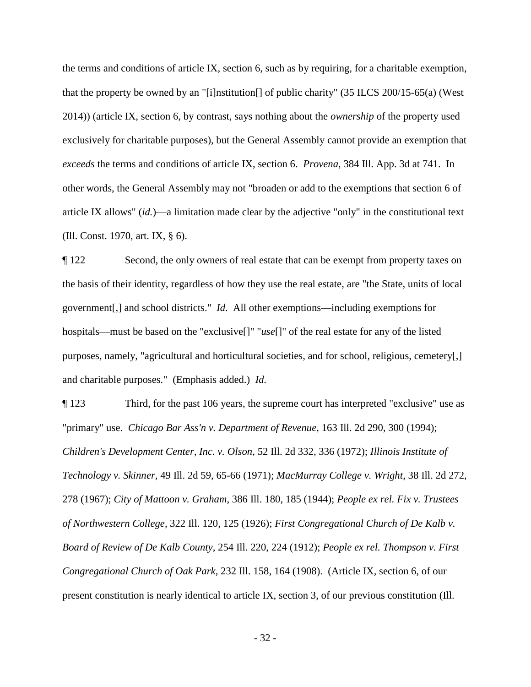the terms and conditions of article IX, section 6, such as by requiring, for a charitable exemption, that the property be owned by an "[i]nstitution[] of public charity" (35 ILCS 200/15-65(a) (West 2014)) (article IX, section 6, by contrast, says nothing about the *ownership* of the property used exclusively for charitable purposes), but the General Assembly cannot provide an exemption that *exceeds* the terms and conditions of article IX, section 6. *Provena*, 384 Ill. App. 3d at 741. In other words, the General Assembly may not "broaden or add to the exemptions that section 6 of article IX allows" (*id.*)—a limitation made clear by the adjective "only" in the constitutional text (Ill. Const. 1970, art. IX, § 6).

¶ 122 Second, the only owners of real estate that can be exempt from property taxes on the basis of their identity, regardless of how they use the real estate, are "the State, units of local government[,] and school districts." *Id*. All other exemptions—including exemptions for hospitals—must be based on the "exclusive<sup>[]"</sup> "*use*<sup>[]"</sup> of the real estate for any of the listed purposes, namely, "agricultural and horticultural societies, and for school, religious, cemetery[,] and charitable purposes." (Emphasis added.) *Id.*

¶ 123 Third, for the past 106 years, the supreme court has interpreted "exclusive" use as "primary" use. *Chicago Bar Ass'n v. Department of Revenue*, 163 Ill. 2d 290, 300 (1994); *Children's Development Center, Inc. v. Olson*, 52 Ill. 2d 332, 336 (1972); *Illinois Institute of Technology v. Skinner*, 49 Ill. 2d 59, 65-66 (1971); *MacMurray College v. Wright*, 38 Ill. 2d 272, 278 (1967); *City of Mattoon v. Graham*, 386 Ill. 180, 185 (1944); *People ex rel. Fix v. Trustees of Northwestern College*, 322 Ill. 120, 125 (1926); *First Congregational Church of De Kalb v. Board of Review of De Kalb County*, 254 Ill. 220, 224 (1912); *People ex rel. Thompson v. First Congregational Church of Oak Park*, 232 Ill. 158, 164 (1908). (Article IX, section 6, of our present constitution is nearly identical to article IX, section 3, of our previous constitution (Ill.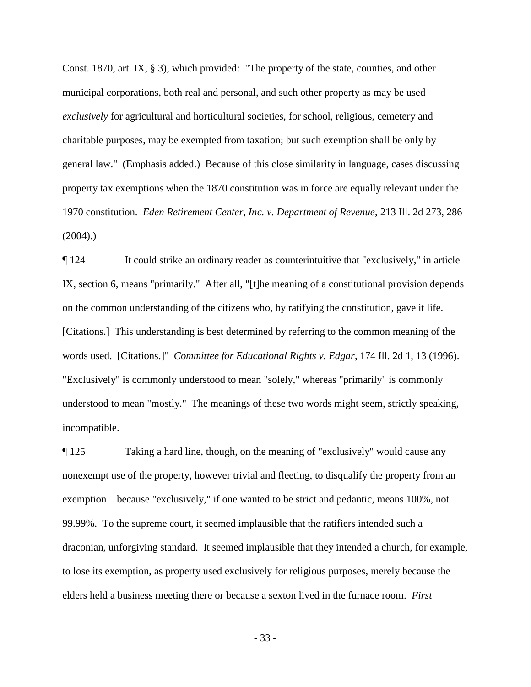Const. 1870, art. IX, § 3), which provided: "The property of the state, counties, and other municipal corporations, both real and personal, and such other property as may be used *exclusively* for agricultural and horticultural societies, for school, religious, cemetery and charitable purposes, may be exempted from taxation; but such exemption shall be only by general law." (Emphasis added.) Because of this close similarity in language, cases discussing property tax exemptions when the 1870 constitution was in force are equally relevant under the 1970 constitution. *Eden Retirement Center, Inc. v. Department of Revenue*, 213 Ill. 2d 273, 286  $(2004)$ .

¶ 124 It could strike an ordinary reader as counterintuitive that "exclusively," in article IX, section 6, means "primarily." After all, "[t]he meaning of a constitutional provision depends on the common understanding of the citizens who, by ratifying the constitution, gave it life. [Citations.] This understanding is best determined by referring to the common meaning of the words used. [Citations.]" *Committee for Educational Rights v. Edgar*, 174 Ill. 2d 1, 13 (1996). "Exclusively" is commonly understood to mean "solely," whereas "primarily" is commonly understood to mean "mostly." The meanings of these two words might seem, strictly speaking, incompatible.

¶ 125 Taking a hard line, though, on the meaning of "exclusively" would cause any nonexempt use of the property, however trivial and fleeting, to disqualify the property from an exemption—because "exclusively," if one wanted to be strict and pedantic, means 100%, not 99.99%. To the supreme court, it seemed implausible that the ratifiers intended such a draconian, unforgiving standard. It seemed implausible that they intended a church, for example, to lose its exemption, as property used exclusively for religious purposes, merely because the elders held a business meeting there or because a sexton lived in the furnace room. *First* 

- 33 -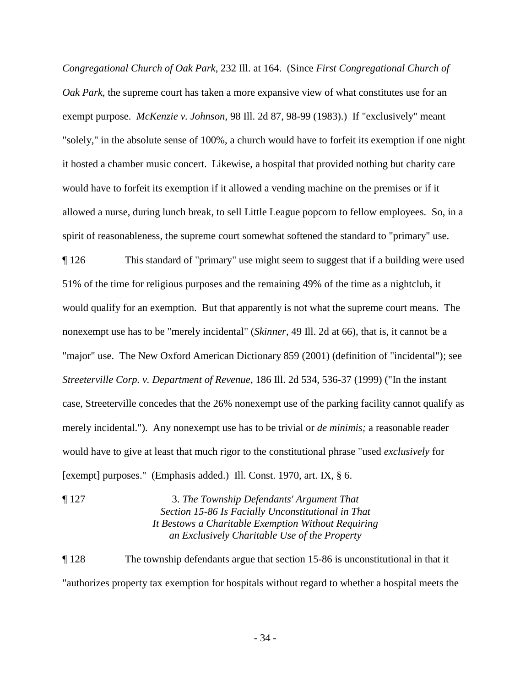*Congregational Church of Oak Park*, 232 Ill. at 164. (Since *First Congregational Church of Oak Park*, the supreme court has taken a more expansive view of what constitutes use for an exempt purpose. *McKenzie v. Johnson*, 98 Ill. 2d 87, 98-99 (1983).) If "exclusively" meant "solely," in the absolute sense of 100%, a church would have to forfeit its exemption if one night it hosted a chamber music concert. Likewise, a hospital that provided nothing but charity care would have to forfeit its exemption if it allowed a vending machine on the premises or if it allowed a nurse, during lunch break, to sell Little League popcorn to fellow employees. So, in a spirit of reasonableness, the supreme court somewhat softened the standard to "primary" use.

¶ 126 This standard of "primary" use might seem to suggest that if a building were used 51% of the time for religious purposes and the remaining 49% of the time as a nightclub, it would qualify for an exemption. But that apparently is not what the supreme court means. The nonexempt use has to be "merely incidental" (*Skinner*, 49 Ill. 2d at 66), that is, it cannot be a "major" use. The New Oxford American Dictionary 859 (2001) (definition of "incidental"); see *Streeterville Corp. v. Department of Revenue*, 186 Ill. 2d 534, 536-37 (1999) ("In the instant case, Streeterville concedes that the 26% nonexempt use of the parking facility cannot qualify as merely incidental."). Any nonexempt use has to be trivial or *de minimis;* a reasonable reader would have to give at least that much rigor to the constitutional phrase "used *exclusively* for [exempt] purposes." (Emphasis added.) Ill. Const. 1970, art. IX, § 6.

¶ 127 3. *The Township Defendants' Argument That Section 15-86 Is Facially Unconstitutional in That It Bestows a Charitable Exemption Without Requiring an Exclusively Charitable Use of the Property*

¶ 128 The township defendants argue that section 15-86 is unconstitutional in that it "authorizes property tax exemption for hospitals without regard to whether a hospital meets the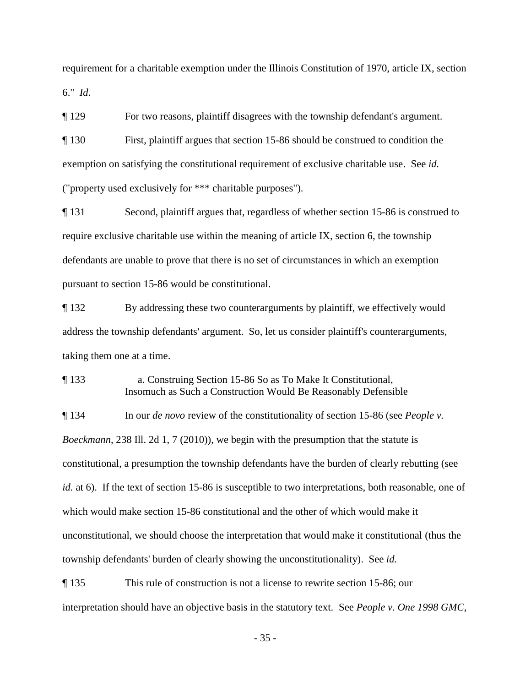requirement for a charitable exemption under the Illinois Constitution of 1970, article IX, section 6." *Id*.

¶ 129 For two reasons, plaintiff disagrees with the township defendant's argument.

¶ 130 First, plaintiff argues that section 15-86 should be construed to condition the exemption on satisfying the constitutional requirement of exclusive charitable use. See *id.* ("property used exclusively for \*\*\* charitable purposes").

¶ 131 Second, plaintiff argues that, regardless of whether section 15-86 is construed to require exclusive charitable use within the meaning of article IX, section 6, the township defendants are unable to prove that there is no set of circumstances in which an exemption pursuant to section 15-86 would be constitutional.

¶ 132 By addressing these two counterarguments by plaintiff, we effectively would address the township defendants' argument. So, let us consider plaintiff's counterarguments, taking them one at a time.

¶ 133 a. Construing Section 15-86 So as To Make It Constitutional, Insomuch as Such a Construction Would Be Reasonably Defensible

¶ 134 In our *de novo* review of the constitutionality of section 15-86 (see *People v. Boeckmann*, 238 Ill. 2d 1, 7 (2010)), we begin with the presumption that the statute is constitutional, a presumption the township defendants have the burden of clearly rebutting (see *id.* at 6). If the text of section 15-86 is susceptible to two interpretations, both reasonable, one of which would make section 15-86 constitutional and the other of which would make it unconstitutional, we should choose the interpretation that would make it constitutional (thus the township defendants' burden of clearly showing the unconstitutionality). See *id.*

¶ 135 This rule of construction is not a license to rewrite section 15-86; our interpretation should have an objective basis in the statutory text. See *People v. One 1998 GMC*,

- 35 -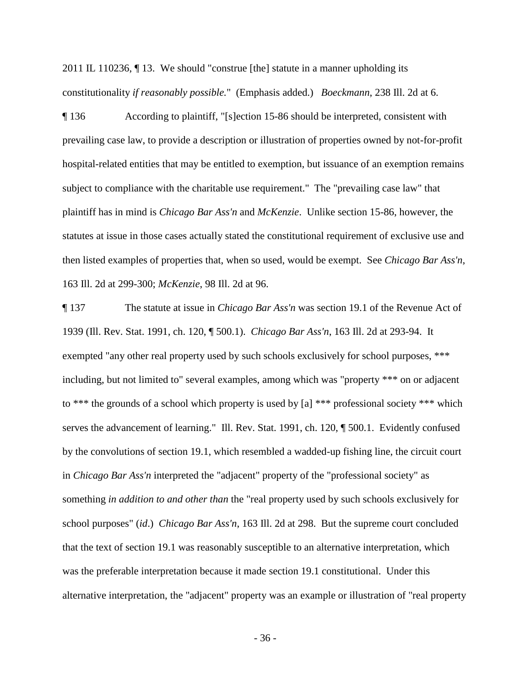2011 IL 110236, ¶ 13. We should "construe [the] statute in a manner upholding its constitutionality *if reasonably possible.*" (Emphasis added.) *Boeckmann*, 238 Ill. 2d at 6.

¶ 136 According to plaintiff, "[s]ection 15-86 should be interpreted, consistent with prevailing case law, to provide a description or illustration of properties owned by not-for-profit hospital-related entities that may be entitled to exemption, but issuance of an exemption remains subject to compliance with the charitable use requirement." The "prevailing case law" that plaintiff has in mind is *Chicago Bar Ass'n* and *McKenzie*. Unlike section 15-86, however, the statutes at issue in those cases actually stated the constitutional requirement of exclusive use and then listed examples of properties that, when so used, would be exempt. See *Chicago Bar Ass'n*, 163 Ill. 2d at 299-300; *McKenzie*, 98 Ill. 2d at 96.

¶ 137 The statute at issue in *Chicago Bar Ass'n* was section 19.1 of the Revenue Act of 1939 (Ill. Rev. Stat. 1991, ch. 120, ¶ 500.1). *Chicago Bar Ass'n*, 163 Ill. 2d at 293-94. It exempted "any other real property used by such schools exclusively for school purposes, \*\*\* including, but not limited to" several examples, among which was "property \*\*\* on or adjacent to \*\*\* the grounds of a school which property is used by [a] \*\*\* professional society \*\*\* which serves the advancement of learning." Ill. Rev. Stat. 1991, ch. 120, ¶ 500.1. Evidently confused by the convolutions of section 19.1, which resembled a wadded-up fishing line, the circuit court in *Chicago Bar Ass'n* interpreted the "adjacent" property of the "professional society" as something *in addition to and other than* the "real property used by such schools exclusively for school purposes" (*id*.) *Chicago Bar Ass'n*, 163 Ill. 2d at 298. But the supreme court concluded that the text of section 19.1 was reasonably susceptible to an alternative interpretation, which was the preferable interpretation because it made section 19.1 constitutional. Under this alternative interpretation, the "adjacent" property was an example or illustration of "real property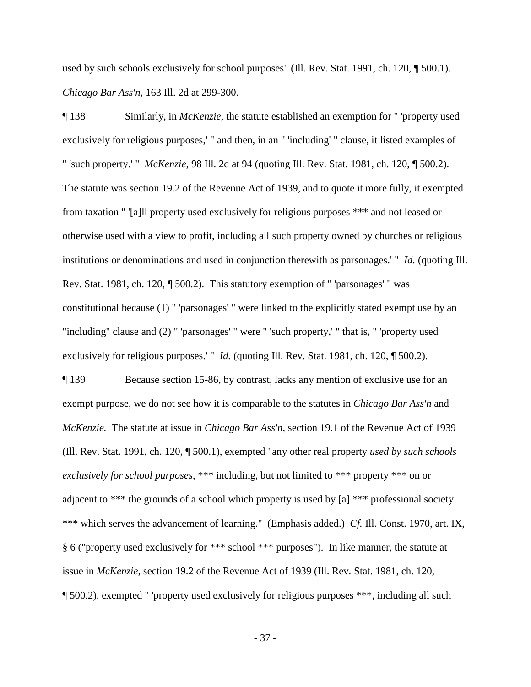used by such schools exclusively for school purposes" (Ill. Rev. Stat. 1991, ch. 120, ¶ 500.1). *Chicago Bar Ass'n*, 163 Ill. 2d at 299-300.

¶ 138 Similarly, in *McKenzie*, the statute established an exemption for " 'property used exclusively for religious purposes,' " and then, in an " 'including' " clause, it listed examples of " 'such property.' " *McKenzie*, 98 Ill. 2d at 94 (quoting Ill. Rev. Stat. 1981, ch. 120, ¶ 500.2). The statute was section 19.2 of the Revenue Act of 1939, and to quote it more fully, it exempted from taxation " '[a]ll property used exclusively for religious purposes \*\*\* and not leased or otherwise used with a view to profit, including all such property owned by churches or religious institutions or denominations and used in conjunction therewith as parsonages.' " *Id.* (quoting Ill. Rev. Stat. 1981, ch. 120, ¶ 500.2). This statutory exemption of " 'parsonages' " was constitutional because (1) " 'parsonages' " were linked to the explicitly stated exempt use by an "including" clause and (2) " 'parsonages' " were " 'such property,' " that is, " 'property used exclusively for religious purposes.' "*Id.* (quoting Ill. Rev. Stat. 1981, ch. 120, ¶ 500.2).

¶ 139 Because section 15-86, by contrast, lacks any mention of exclusive use for an exempt purpose, we do not see how it is comparable to the statutes in *Chicago Bar Ass'n* and *McKenzie.* The statute at issue in *Chicago Bar Ass'n*, section 19.1 of the Revenue Act of 1939 (Ill. Rev. Stat. 1991, ch. 120, ¶ 500.1), exempted "any other real property *used by such schools exclusively for school purposes*, \*\*\* including, but not limited to \*\*\* property \*\*\* on or adjacent to \*\*\* the grounds of a school which property is used by [a] \*\*\* professional society \*\*\* which serves the advancement of learning." (Emphasis added.) *Cf.* Ill. Const. 1970, art. IX, § 6 ("property used exclusively for \*\*\* school \*\*\* purposes"). In like manner, the statute at issue in *McKenzie*, section 19.2 of the Revenue Act of 1939 (Ill. Rev. Stat. 1981, ch. 120, ¶ 500.2), exempted " 'property used exclusively for religious purposes \*\*\*, including all such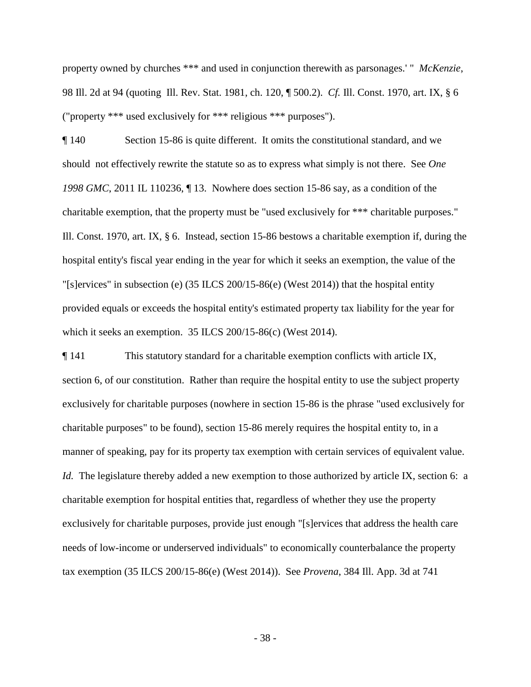property owned by churches \*\*\* and used in conjunction therewith as parsonages.' " *McKenzie*, 98 Ill. 2d at 94 (quoting Ill. Rev. Stat. 1981, ch. 120, ¶ 500.2). *Cf.* Ill. Const. 1970, art. IX, § 6 ("property \*\*\* used exclusively for \*\*\* religious \*\*\* purposes").

¶ 140 Section 15-86 is quite different. It omits the constitutional standard, and we should not effectively rewrite the statute so as to express what simply is not there. See *One 1998 GMC*, 2011 IL 110236, ¶ 13. Nowhere does section 15-86 say, as a condition of the charitable exemption, that the property must be "used exclusively for \*\*\* charitable purposes." Ill. Const. 1970, art. IX, § 6. Instead, section 15-86 bestows a charitable exemption if, during the hospital entity's fiscal year ending in the year for which it seeks an exemption, the value of the "[s]ervices" in subsection (e) (35 ILCS 200/15-86(e) (West 2014)) that the hospital entity provided equals or exceeds the hospital entity's estimated property tax liability for the year for which it seeks an exemption. 35 ILCS 200/15-86(c) (West 2014).

¶ 141 This statutory standard for a charitable exemption conflicts with article IX, section 6, of our constitution. Rather than require the hospital entity to use the subject property exclusively for charitable purposes (nowhere in section 15-86 is the phrase "used exclusively for charitable purposes" to be found), section 15-86 merely requires the hospital entity to, in a manner of speaking, pay for its property tax exemption with certain services of equivalent value. *Id.* The legislature thereby added a new exemption to those authorized by article IX, section 6: a charitable exemption for hospital entities that, regardless of whether they use the property exclusively for charitable purposes, provide just enough "[s]ervices that address the health care needs of low-income or underserved individuals" to economically counterbalance the property tax exemption (35 ILCS 200/15-86(e) (West 2014)). See *Provena*, 384 Ill. App. 3d at 741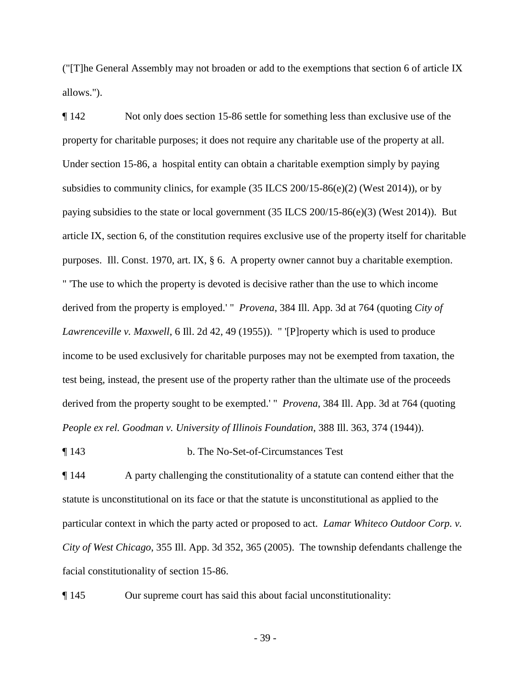("[T]he General Assembly may not broaden or add to the exemptions that section 6 of article IX allows.").

¶ 142 Not only does section 15-86 settle for something less than exclusive use of the property for charitable purposes; it does not require any charitable use of the property at all. Under section 15-86, a hospital entity can obtain a charitable exemption simply by paying subsidies to community clinics, for example (35 ILCS 200/15-86(e)(2) (West 2014)), or by paying subsidies to the state or local government (35 ILCS 200/15-86(e)(3) (West 2014)). But article IX, section 6, of the constitution requires exclusive use of the property itself for charitable purposes. Ill. Const. 1970, art. IX, § 6. A property owner cannot buy a charitable exemption. " 'The use to which the property is devoted is decisive rather than the use to which income derived from the property is employed.' " *Provena*, 384 Ill. App. 3d at 764 (quoting *City of Lawrenceville v. Maxwell*, 6 Ill. 2d 42, 49 (1955)). " '[P]roperty which is used to produce income to be used exclusively for charitable purposes may not be exempted from taxation, the test being, instead, the present use of the property rather than the ultimate use of the proceeds derived from the property sought to be exempted.' " *Provena*, 384 Ill. App. 3d at 764 (quoting *People ex rel. Goodman v. University of Illinois Foundation*, 388 Ill. 363, 374 (1944)).

¶ 143 b. The No-Set-of-Circumstances Test

¶ 144 A party challenging the constitutionality of a statute can contend either that the statute is unconstitutional on its face or that the statute is unconstitutional as applied to the particular context in which the party acted or proposed to act. *Lamar Whiteco Outdoor Corp. v. City of West Chicago*, 355 Ill. App. 3d 352, 365 (2005). The township defendants challenge the facial constitutionality of section 15-86.

¶ 145 Our supreme court has said this about facial unconstitutionality:

- 39 -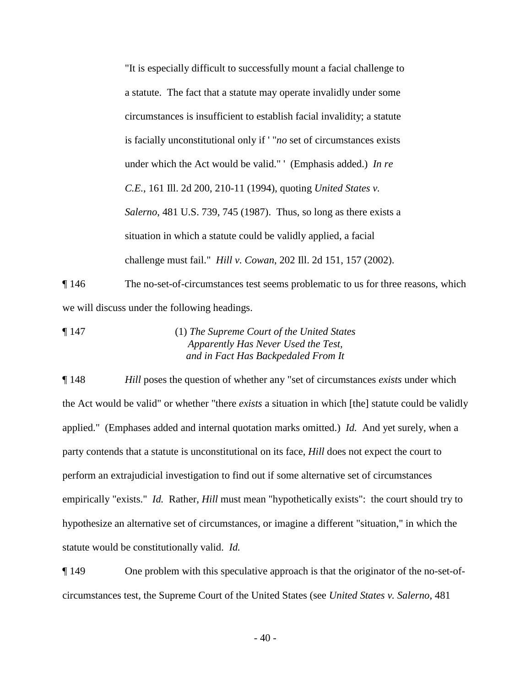"It is especially difficult to successfully mount a facial challenge to a statute. The fact that a statute may operate invalidly under some circumstances is insufficient to establish facial invalidity; a statute is facially unconstitutional only if ' "*no* set of circumstances exists under which the Act would be valid." ' (Emphasis added.) *In re C.E.*, 161 Ill. 2d 200, 210-11 (1994), quoting *United States v. Salerno*, 481 U.S. 739, 745 (1987). Thus, so long as there exists a situation in which a statute could be validly applied, a facial challenge must fail." *Hill v. Cowan*, 202 Ill. 2d 151, 157 (2002).

¶ 146 The no-set-of-circumstances test seems problematic to us for three reasons, which we will discuss under the following headings.

¶ 147 (1) *The Supreme Court of the United States Apparently Has Never Used the Test, and in Fact Has Backpedaled From It*

¶ 148 *Hill* poses the question of whether any "set of circumstances *exists* under which the Act would be valid" or whether "there *exists* a situation in which [the] statute could be validly applied." (Emphases added and internal quotation marks omitted.) *Id.* And yet surely, when a party contends that a statute is unconstitutional on its face, *Hill* does not expect the court to perform an extrajudicial investigation to find out if some alternative set of circumstances empirically "exists." *Id.* Rather, *Hill* must mean "hypothetically exists": the court should try to hypothesize an alternative set of circumstances, or imagine a different "situation," in which the statute would be constitutionally valid. *Id.*

¶ 149 One problem with this speculative approach is that the originator of the no-set-ofcircumstances test, the Supreme Court of the United States (see *United States v. Salerno*, 481

- 40 -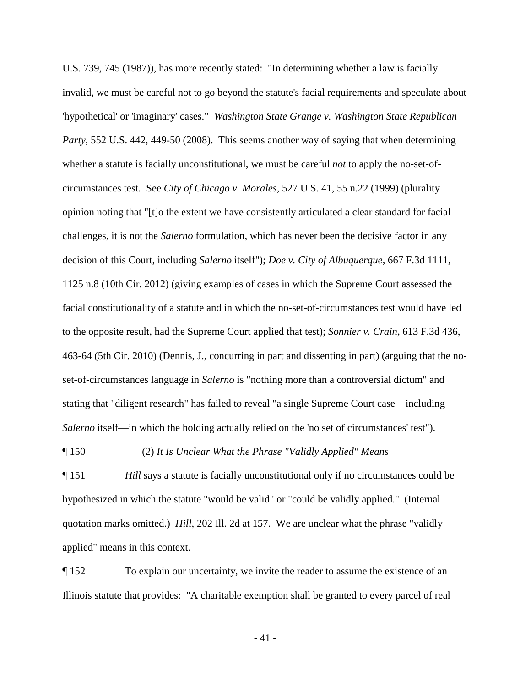U.S. 739, 745 (1987)), has more recently stated: "In determining whether a law is facially invalid, we must be careful not to go beyond the statute's facial requirements and speculate about 'hypothetical' or 'imaginary' cases." *Washington State Grange v. Washington State Republican Party*, 552 U.S. 442, 449-50 (2008). This seems another way of saying that when determining whether a statute is facially unconstitutional, we must be careful *not* to apply the no-set-ofcircumstances test. See *City of Chicago v. Morales*, 527 U.S. 41, 55 n.22 (1999) (plurality opinion noting that "[t]o the extent we have consistently articulated a clear standard for facial challenges, it is not the *Salerno* formulation, which has never been the decisive factor in any decision of this Court, including *Salerno* itself"); *Doe v. City of Albuquerque*, 667 F.3d 1111, 1125 n.8 (10th Cir. 2012) (giving examples of cases in which the Supreme Court assessed the facial constitutionality of a statute and in which the no-set-of-circumstances test would have led to the opposite result, had the Supreme Court applied that test); *Sonnier v. Crain*, 613 F.3d 436, 463-64 (5th Cir. 2010) (Dennis, J., concurring in part and dissenting in part) (arguing that the noset-of-circumstances language in *Salerno* is "nothing more than a controversial dictum" and stating that "diligent research" has failed to reveal "a single Supreme Court case—including *Salerno* itself—in which the holding actually relied on the 'no set of circumstances' test").

### ¶ 150 (2) *It Is Unclear What the Phrase "Validly Applied" Means*

¶ 151 *Hill* says a statute is facially unconstitutional only if no circumstances could be hypothesized in which the statute "would be valid" or "could be validly applied." (Internal quotation marks omitted.) *Hill*, 202 Ill. 2d at 157. We are unclear what the phrase "validly applied" means in this context.

¶ 152 To explain our uncertainty, we invite the reader to assume the existence of an Illinois statute that provides: "A charitable exemption shall be granted to every parcel of real

- 41 -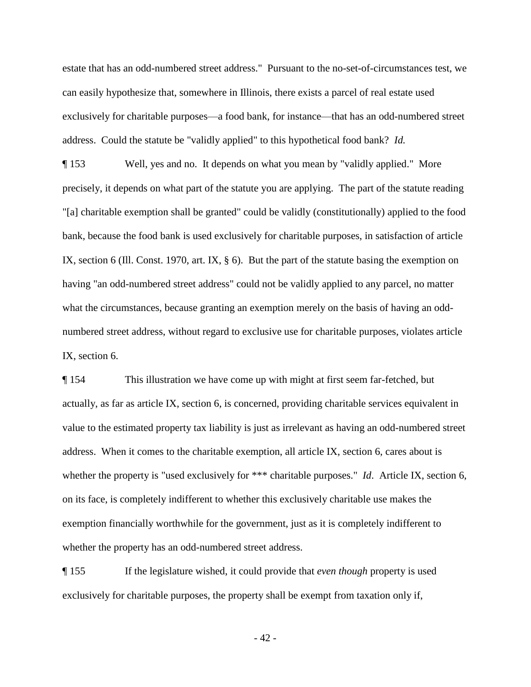estate that has an odd-numbered street address." Pursuant to the no-set-of-circumstances test, we can easily hypothesize that, somewhere in Illinois, there exists a parcel of real estate used exclusively for charitable purposes—a food bank, for instance—that has an odd-numbered street address. Could the statute be "validly applied" to this hypothetical food bank? *Id.*

¶ 153 Well, yes and no. It depends on what you mean by "validly applied." More precisely, it depends on what part of the statute you are applying. The part of the statute reading "[a] charitable exemption shall be granted" could be validly (constitutionally) applied to the food bank, because the food bank is used exclusively for charitable purposes, in satisfaction of article IX, section 6 (Ill. Const. 1970, art. IX,  $\S$  6). But the part of the statute basing the exemption on having "an odd-numbered street address" could not be validly applied to any parcel, no matter what the circumstances, because granting an exemption merely on the basis of having an oddnumbered street address, without regard to exclusive use for charitable purposes, violates article IX, section 6.

¶ 154 This illustration we have come up with might at first seem far-fetched, but actually, as far as article IX, section 6, is concerned, providing charitable services equivalent in value to the estimated property tax liability is just as irrelevant as having an odd-numbered street address. When it comes to the charitable exemption, all article IX, section 6, cares about is whether the property is "used exclusively for \*\*\* charitable purposes." *Id.* Article IX, section 6, on its face, is completely indifferent to whether this exclusively charitable use makes the exemption financially worthwhile for the government, just as it is completely indifferent to whether the property has an odd-numbered street address.

¶ 155 If the legislature wished, it could provide that *even though* property is used exclusively for charitable purposes, the property shall be exempt from taxation only if,

- 42 -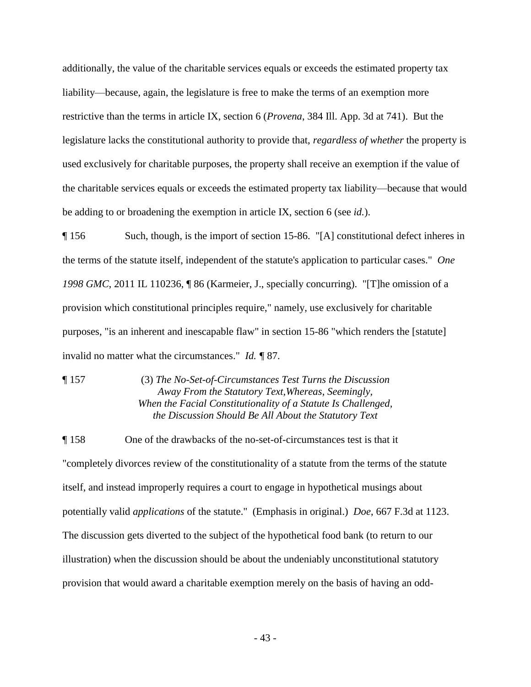additionally, the value of the charitable services equals or exceeds the estimated property tax liability—because, again, the legislature is free to make the terms of an exemption more restrictive than the terms in article IX, section 6 (*Provena*, 384 Ill. App. 3d at 741). But the legislature lacks the constitutional authority to provide that, *regardless of whether* the property is used exclusively for charitable purposes, the property shall receive an exemption if the value of the charitable services equals or exceeds the estimated property tax liability—because that would be adding to or broadening the exemption in article IX, section 6 (see *id.*).

¶ 156 Such, though, is the import of section 15-86. "[A] constitutional defect inheres in the terms of the statute itself, independent of the statute's application to particular cases." *One 1998 GMC*, 2011 IL 110236, ¶ 86 (Karmeier, J., specially concurring). "[T]he omission of a provision which constitutional principles require," namely, use exclusively for charitable purposes, "is an inherent and inescapable flaw" in section 15-86 "which renders the [statute] invalid no matter what the circumstances." *Id. ¶* 87.

¶ 157 (3) *The No-Set-of-Circumstances Test Turns the Discussion Away From the Statutory Text,Whereas, Seemingly, When the Facial Constitutionality of a Statute Is Challenged, the Discussion Should Be All About the Statutory Text*

¶ 158 One of the drawbacks of the no-set-of-circumstances test is that it "completely divorces review of the constitutionality of a statute from the terms of the statute itself, and instead improperly requires a court to engage in hypothetical musings about potentially valid *applications* of the statute." (Emphasis in original.) *Doe*, 667 F.3d at 1123. The discussion gets diverted to the subject of the hypothetical food bank (to return to our illustration) when the discussion should be about the undeniably unconstitutional statutory provision that would award a charitable exemption merely on the basis of having an odd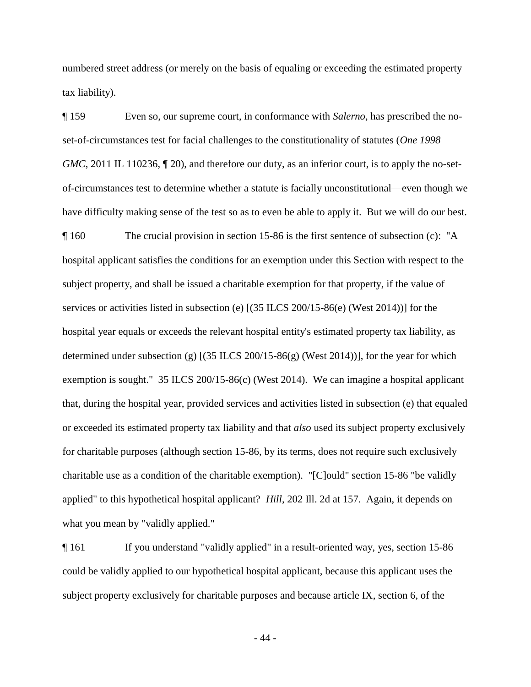numbered street address (or merely on the basis of equaling or exceeding the estimated property tax liability).

¶ 159 Even so, our supreme court, in conformance with *Salerno*, has prescribed the noset-of-circumstances test for facial challenges to the constitutionality of statutes (*One 1998 GMC*, 2011 IL 110236,  $\P$  20), and therefore our duty, as an inferior court, is to apply the no-setof-circumstances test to determine whether a statute is facially unconstitutional—even though we have difficulty making sense of the test so as to even be able to apply it. But we will do our best. ¶ 160 The crucial provision in section 15-86 is the first sentence of subsection (c): "A hospital applicant satisfies the conditions for an exemption under this Section with respect to the subject property, and shall be issued a charitable exemption for that property, if the value of services or activities listed in subsection (e) [(35 ILCS 200/15-86(e) (West 2014))] for the hospital year equals or exceeds the relevant hospital entity's estimated property tax liability, as determined under subsection (g) [(35 ILCS 200/15-86(g) (West 2014))], for the year for which exemption is sought." 35 ILCS 200/15-86(c) (West 2014). We can imagine a hospital applicant that, during the hospital year, provided services and activities listed in subsection (e) that equaled or exceeded its estimated property tax liability and that *also* used its subject property exclusively for charitable purposes (although section 15-86, by its terms, does not require such exclusively charitable use as a condition of the charitable exemption). "[C]ould" section 15-86 "be validly applied" to this hypothetical hospital applicant? *Hill*, 202 Ill. 2d at 157. Again, it depends on what you mean by "validly applied."

¶ 161 If you understand "validly applied" in a result-oriented way, yes, section 15-86 could be validly applied to our hypothetical hospital applicant, because this applicant uses the subject property exclusively for charitable purposes and because article IX, section 6, of the

- 44 -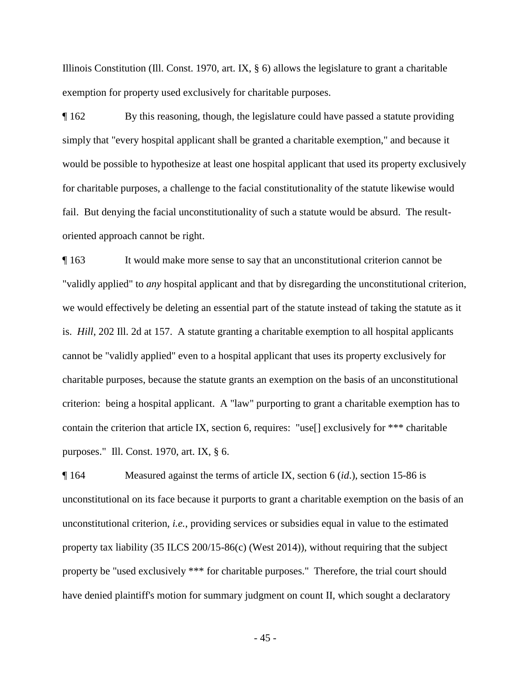Illinois Constitution (Ill. Const. 1970, art. IX, § 6) allows the legislature to grant a charitable exemption for property used exclusively for charitable purposes.

¶ 162 By this reasoning, though, the legislature could have passed a statute providing simply that "every hospital applicant shall be granted a charitable exemption," and because it would be possible to hypothesize at least one hospital applicant that used its property exclusively for charitable purposes, a challenge to the facial constitutionality of the statute likewise would fail. But denying the facial unconstitutionality of such a statute would be absurd. The resultoriented approach cannot be right.

¶ 163 It would make more sense to say that an unconstitutional criterion cannot be "validly applied" to *any* hospital applicant and that by disregarding the unconstitutional criterion, we would effectively be deleting an essential part of the statute instead of taking the statute as it is. *Hill*, 202 Ill. 2d at 157. A statute granting a charitable exemption to all hospital applicants cannot be "validly applied" even to a hospital applicant that uses its property exclusively for charitable purposes, because the statute grants an exemption on the basis of an unconstitutional criterion: being a hospital applicant. A "law" purporting to grant a charitable exemption has to contain the criterion that article IX, section 6, requires: "use[] exclusively for \*\*\* charitable purposes." Ill. Const. 1970, art. IX, § 6.

¶ 164 Measured against the terms of article IX, section 6 (*id*.), section 15-86 is unconstitutional on its face because it purports to grant a charitable exemption on the basis of an unconstitutional criterion, *i.e.*, providing services or subsidies equal in value to the estimated property tax liability (35 ILCS 200/15-86(c) (West 2014)), without requiring that the subject property be "used exclusively \*\*\* for charitable purposes." Therefore, the trial court should have denied plaintiff's motion for summary judgment on count II, which sought a declaratory

- 45 -